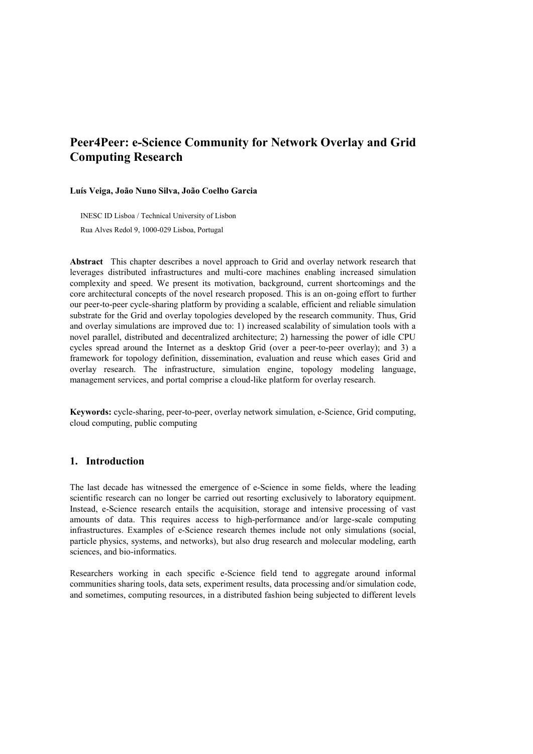# **Peer4Peer: e-Science Community for Network Overlay and Grid Computing Research**

# **Luís Veiga, João Nuno Silva, João Coelho Garcia**

INESC ID Lisboa / Technical University of Lisbon

Rua Alves Redol 9, 1000-029 Lisboa, Portugal

**Abstract** This chapter describes a novel approach to Grid and overlay network research that leverages distributed infrastructures and multi-core machines enabling increased simulation complexity and speed. We present its motivation, background, current shortcomings and the core architectural concepts of the novel research proposed. This is an on-going effort to further our peer-to-peer cycle-sharing platform by providing a scalable, efficient and reliable simulation substrate for the Grid and overlay topologies developed by the research community. Thus, Grid and overlay simulations are improved due to: 1) increased scalability of simulation tools with a novel parallel, distributed and decentralized architecture; 2) harnessing the power of idle CPU cycles spread around the Internet as a desktop Grid (over a peer-to-peer overlay); and 3) a framework for topology definition, dissemination, evaluation and reuse which eases Grid and overlay research. The infrastructure, simulation engine, topology modeling language, management services, and portal comprise a cloud-like platform for overlay research.

**Keywords:** cycle-sharing, peer-to-peer, overlay network simulation, e-Science, Grid computing, cloud computing, public computing

# **1. Introduction**

The last decade has witnessed the emergence of e-Science in some fields, where the leading scientific research can no longer be carried out resorting exclusively to laboratory equipment. Instead, e-Science research entails the acquisition, storage and intensive processing of vast amounts of data. This requires access to high-performance and/or large-scale computing infrastructures. Examples of e-Science research themes include not only simulations (social, particle physics, systems, and networks), but also drug research and molecular modeling, earth sciences, and bio-informatics.

Researchers working in each specific e-Science field tend to aggregate around informal communities sharing tools, data sets, experiment results, data processing and/or simulation code, and sometimes, computing resources, in a distributed fashion being subjected to different levels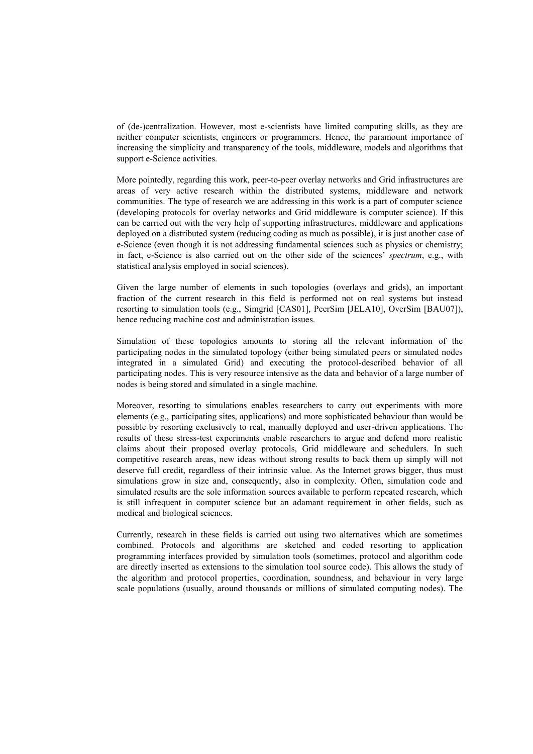of (de-)centralization. However, most e-scientists have limited computing skills, as they are neither computer scientists, engineers or programmers. Hence, the paramount importance of increasing the simplicity and transparency of the tools, middleware, models and algorithms that support e-Science activities.

More pointedly, regarding this work, peer-to-peer overlay networks and Grid infrastructures are areas of very active research within the distributed systems, middleware and network communities. The type of research we are addressing in this work is a part of computer science (developing protocols for overlay networks and Grid middleware is computer science). If this can be carried out with the very help of supporting infrastructures, middleware and applications deployed on a distributed system (reducing coding as much as possible), it is just another case of e-Science (even though it is not addressing fundamental sciences such as physics or chemistry; in fact, e-Science is also carried out on the other side of the sciences' *spectrum*, e.g., with statistical analysis employed in social sciences).

Given the large number of elements in such topologies (overlays and grids), an important fraction of the current research in this field is performed not on real systems but instead resorting to simulation tools (e.g., Simgrid [CAS01], PeerSim [JELA10], OverSim [BAU07]), hence reducing machine cost and administration issues.

Simulation of these topologies amounts to storing all the relevant information of the participating nodes in the simulated topology (either being simulated peers or simulated nodes integrated in a simulated Grid) and executing the protocol-described behavior of all participating nodes. This is very resource intensive as the data and behavior of a large number of nodes is being stored and simulated in a single machine.

Moreover, resorting to simulations enables researchers to carry out experiments with more elements (e.g., participating sites, applications) and more sophisticated behaviour than would be possible by resorting exclusively to real, manually deployed and user-driven applications. The results of these stress-test experiments enable researchers to argue and defend more realistic claims about their proposed overlay protocols, Grid middleware and schedulers. In such competitive research areas, new ideas without strong results to back them up simply will not deserve full credit, regardless of their intrinsic value. As the Internet grows bigger, thus must simulations grow in size and, consequently, also in complexity. Often, simulation code and simulated results are the sole information sources available to perform repeated research, which is still infrequent in computer science but an adamant requirement in other fields, such as medical and biological sciences.

Currently, research in these fields is carried out using two alternatives which are sometimes combined. Protocols and algorithms are sketched and coded resorting to application programming interfaces provided by simulation tools (sometimes, protocol and algorithm code are directly inserted as extensions to the simulation tool source code). This allows the study of the algorithm and protocol properties, coordination, soundness, and behaviour in very large scale populations (usually, around thousands or millions of simulated computing nodes). The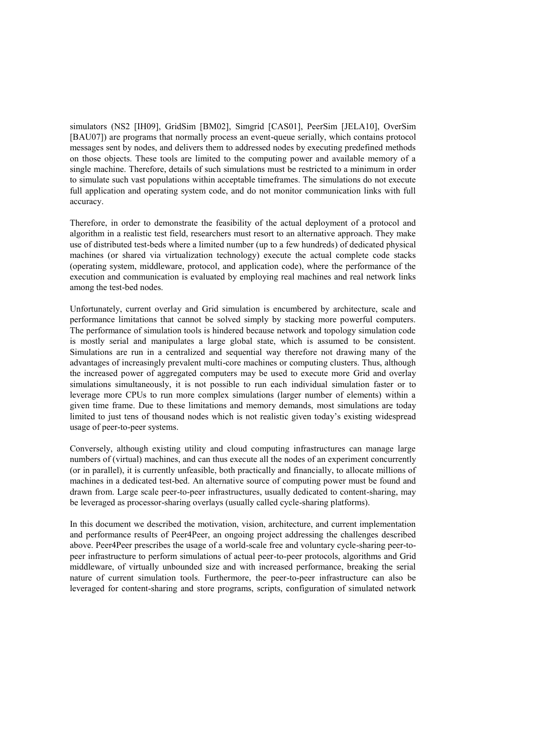simulators (NS2 [IH09], GridSim [BM02], Simgrid [CAS01], PeerSim [JELA10], OverSim [BAU07]) are programs that normally process an event-queue serially, which contains protocol messages sent by nodes, and delivers them to addressed nodes by executing predefined methods on those objects. These tools are limited to the computing power and available memory of a single machine. Therefore, details of such simulations must be restricted to a minimum in order to simulate such vast populations within acceptable timeframes. The simulations do not execute full application and operating system code, and do not monitor communication links with full accuracy.

Therefore, in order to demonstrate the feasibility of the actual deployment of a protocol and algorithm in a realistic test field, researchers must resort to an alternative approach. They make use of distributed test-beds where a limited number (up to a few hundreds) of dedicated physical machines (or shared via virtualization technology) execute the actual complete code stacks (operating system, middleware, protocol, and application code), where the performance of the execution and communication is evaluated by employing real machines and real network links among the test-bed nodes.

Unfortunately, current overlay and Grid simulation is encumbered by architecture, scale and performance limitations that cannot be solved simply by stacking more powerful computers. The performance of simulation tools is hindered because network and topology simulation code is mostly serial and manipulates a large global state, which is assumed to be consistent. Simulations are run in a centralized and sequential way therefore not drawing many of the advantages of increasingly prevalent multi-core machines or computing clusters. Thus, although the increased power of aggregated computers may be used to execute more Grid and overlay simulations simultaneously, it is not possible to run each individual simulation faster or to leverage more CPUs to run more complex simulations (larger number of elements) within a given time frame. Due to these limitations and memory demands, most simulations are today limited to just tens of thousand nodes which is not realistic given today's existing widespread usage of peer-to-peer systems.

Conversely, although existing utility and cloud computing infrastructures can manage large numbers of (virtual) machines, and can thus execute all the nodes of an experiment concurrently (or in parallel), it is currently unfeasible, both practically and financially, to allocate millions of machines in a dedicated test-bed. An alternative source of computing power must be found and drawn from. Large scale peer-to-peer infrastructures, usually dedicated to content-sharing, may be leveraged as processor-sharing overlays (usually called cycle-sharing platforms).

In this document we described the motivation, vision, architecture, and current implementation and performance results of Peer4Peer, an ongoing project addressing the challenges described above. Peer4Peer prescribes the usage of a world-scale free and voluntary cycle-sharing peer-topeer infrastructure to perform simulations of actual peer-to-peer protocols, algorithms and Grid middleware, of virtually unbounded size and with increased performance, breaking the serial nature of current simulation tools. Furthermore, the peer-to-peer infrastructure can also be leveraged for content-sharing and store programs, scripts, configuration of simulated network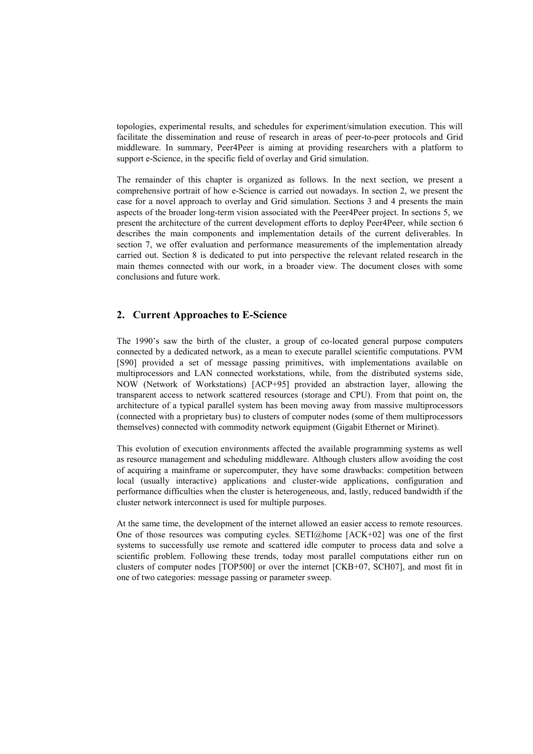topologies, experimental results, and schedules for experiment/simulation execution. This will facilitate the dissemination and reuse of research in areas of peer-to-peer protocols and Grid middleware. In summary, Peer4Peer is aiming at providing researchers with a platform to support e-Science, in the specific field of overlay and Grid simulation.

The remainder of this chapter is organized as follows. In the next section, we present a comprehensive portrait of how e-Science is carried out nowadays. In section [2,](#page-3-0) we present the case for a novel approach to overlay and Grid simulation. Sections [3](#page-7-0) and [4](#page-9-0) presents the main aspects of the broader long-term vision associated with the Peer4Peer project. In sections [5,](#page-10-0) we present the architecture of the current development efforts to deploy Peer4Peer, while section [6](#page-15-0) describes the main components and implementation details of the current deliverables. In section [7,](#page-22-0) we offer evaluation and performance measurements of the implementation already carried out. Section [8](#page-25-0) is dedicated to put into perspective the relevant related research in the main themes connected with our work, in a broader view. The document closes with some conclusions and future work.

# <span id="page-3-0"></span>**2. Current Approaches to E-Science**

The 1990's saw the birth of the cluster, a group of co-located general purpose computers connected by a dedicated network, as a mean to execute parallel scientific computations. PVM [S90] provided a set of message passing primitives, with implementations available on multiprocessors and LAN connected workstations, while, from the distributed systems side, NOW (Network of Workstations) [ACP+95] provided an abstraction layer, allowing the transparent access to network scattered resources (storage and CPU). From that point on, the architecture of a typical parallel system has been moving away from massive multiprocessors (connected with a proprietary bus) to clusters of computer nodes (some of them multiprocessors themselves) connected with commodity network equipment (Gigabit Ethernet or Mirinet).

This evolution of execution environments affected the available programming systems as well as resource management and scheduling middleware. Although clusters allow avoiding the cost of acquiring a mainframe or supercomputer, they have some drawbacks: competition between local (usually interactive) applications and cluster-wide applications, configuration and performance difficulties when the cluster is heterogeneous, and, lastly, reduced bandwidth if the cluster network interconnect is used for multiple purposes.

At the same time, the development of the internet allowed an easier access to remote resources. One of those resources was computing cycles. SETI@home [ACK+02] was one of the first systems to successfully use remote and scattered idle computer to process data and solve a scientific problem. Following these trends, today most parallel computations either run on clusters of computer nodes [TOP500] or over the internet [CKB+07, SCH07], and most fit in one of two categories: message passing or parameter sweep.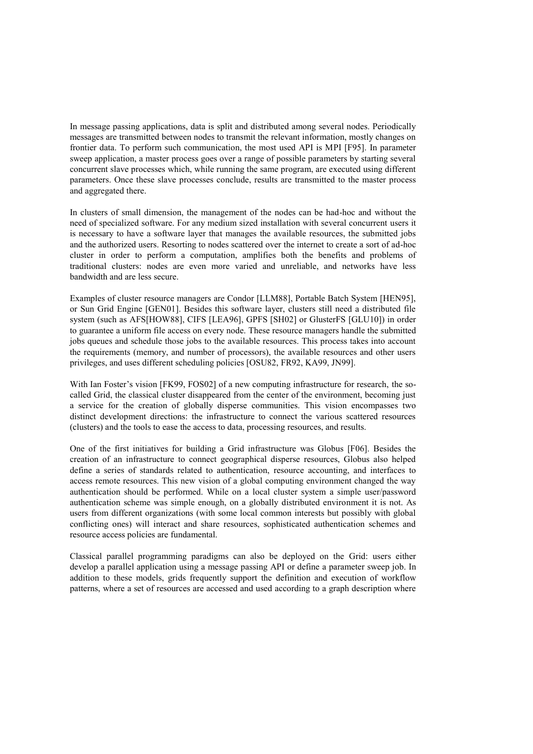In message passing applications, data is split and distributed among several nodes. Periodically messages are transmitted between nodes to transmit the relevant information, mostly changes on frontier data. To perform such communication, the most used API is MPI [F95]. In parameter sweep application, a master process goes over a range of possible parameters by starting several concurrent slave processes which, while running the same program, are executed using different parameters. Once these slave processes conclude, results are transmitted to the master process and aggregated there.

In clusters of small dimension, the management of the nodes can be had-hoc and without the need of specialized software. For any medium sized installation with several concurrent users it is necessary to have a software layer that manages the available resources, the submitted jobs and the authorized users. Resorting to nodes scattered over the internet to create a sort of ad-hoc cluster in order to perform a computation, amplifies both the benefits and problems of traditional clusters: nodes are even more varied and unreliable, and networks have less bandwidth and are less secure.

Examples of cluster resource managers are Condor [LLM88], Portable Batch System [HEN95], or Sun Grid Engine [GEN01]. Besides this software layer, clusters still need a distributed file system (such as AFS[HOW88], CIFS [LEA96], GPFS [SH02] or GlusterFS [GLU10]) in order to guarantee a uniform file access on every node. These resource managers handle the submitted jobs queues and schedule those jobs to the available resources. This process takes into account the requirements (memory, and number of processors), the available resources and other users privileges, and uses different scheduling policies [OSU82, FR92, KA99, JN99].

With Ian Foster's vision [FK99, FOS02] of a new computing infrastructure for research, the socalled Grid, the classical cluster disappeared from the center of the environment, becoming just a service for the creation of globally disperse communities. This vision encompasses two distinct development directions: the infrastructure to connect the various scattered resources (clusters) and the tools to ease the access to data, processing resources, and results.

One of the first initiatives for building a Grid infrastructure was Globus [F06]. Besides the creation of an infrastructure to connect geographical disperse resources, Globus also helped define a series of standards related to authentication, resource accounting, and interfaces to access remote resources. This new vision of a global computing environment changed the way authentication should be performed. While on a local cluster system a simple user/password authentication scheme was simple enough, on a globally distributed environment it is not. As users from different organizations (with some local common interests but possibly with global conflicting ones) will interact and share resources, sophisticated authentication schemes and resource access policies are fundamental.

Classical parallel programming paradigms can also be deployed on the Grid: users either develop a parallel application using a message passing API or define a parameter sweep job. In addition to these models, grids frequently support the definition and execution of workflow patterns, where a set of resources are accessed and used according to a graph description where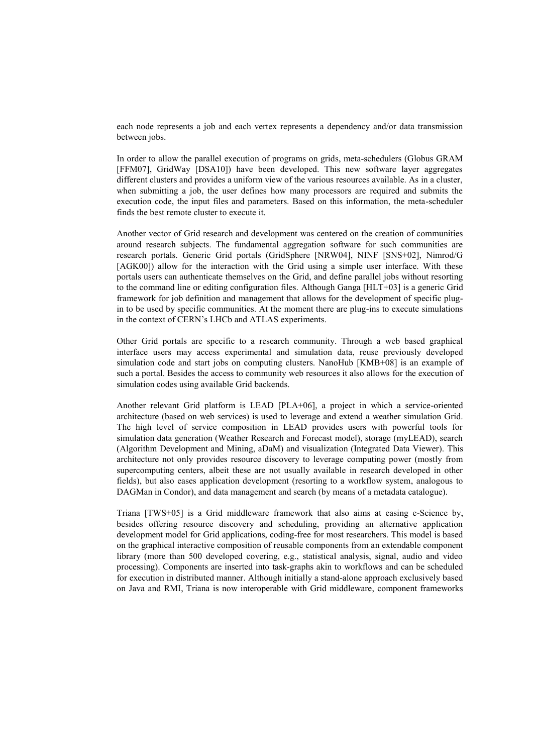each node represents a job and each vertex represents a dependency and/or data transmission between jobs.

In order to allow the parallel execution of programs on grids, meta-schedulers (Globus GRAM [FFM07], GridWay [DSA10]) have been developed. This new software layer aggregates different clusters and provides a uniform view of the various resources available. As in a cluster, when submitting a job, the user defines how many processors are required and submits the execution code, the input files and parameters. Based on this information, the meta-scheduler finds the best remote cluster to execute it.

Another vector of Grid research and development was centered on the creation of communities around research subjects. The fundamental aggregation software for such communities are research portals. Generic Grid portals (GridSphere [NRW04], NINF [SNS+02], Nimrod/G [AGK00]) allow for the interaction with the Grid using a simple user interface. With these portals users can authenticate themselves on the Grid, and define parallel jobs without resorting to the command line or editing configuration files. Although Ganga [HLT+03] is a generic Grid framework for job definition and management that allows for the development of specific plugin to be used by specific communities. At the moment there are plug-ins to execute simulations in the context of CERN's LHCb and ATLAS experiments.

Other Grid portals are specific to a research community. Through a web based graphical interface users may access experimental and simulation data, reuse previously developed simulation code and start jobs on computing clusters. NanoHub [KMB+08] is an example of such a portal. Besides the access to community web resources it also allows for the execution of simulation codes using available Grid backends.

Another relevant Grid platform is LEAD [PLA+06], a project in which a service-oriented architecture (based on web services) is used to leverage and extend a weather simulation Grid. The high level of service composition in LEAD provides users with powerful tools for simulation data generation (Weather Research and Forecast model), storage (myLEAD), search (Algorithm Development and Mining, aDaM) and visualization (Integrated Data Viewer). This architecture not only provides resource discovery to leverage computing power (mostly from supercomputing centers, albeit these are not usually available in research developed in other fields), but also eases application development (resorting to a workflow system, analogous to DAGMan in Condor), and data management and search (by means of a metadata catalogue).

Triana [TWS+05] is a Grid middleware framework that also aims at easing e-Science by, besides offering resource discovery and scheduling, providing an alternative application development model for Grid applications, coding-free for most researchers. This model is based on the graphical interactive composition of reusable components from an extendable component library (more than 500 developed covering, e.g., statistical analysis, signal, audio and video processing). Components are inserted into task-graphs akin to workflows and can be scheduled for execution in distributed manner. Although initially a stand-alone approach exclusively based on Java and RMI, Triana is now interoperable with Grid middleware, component frameworks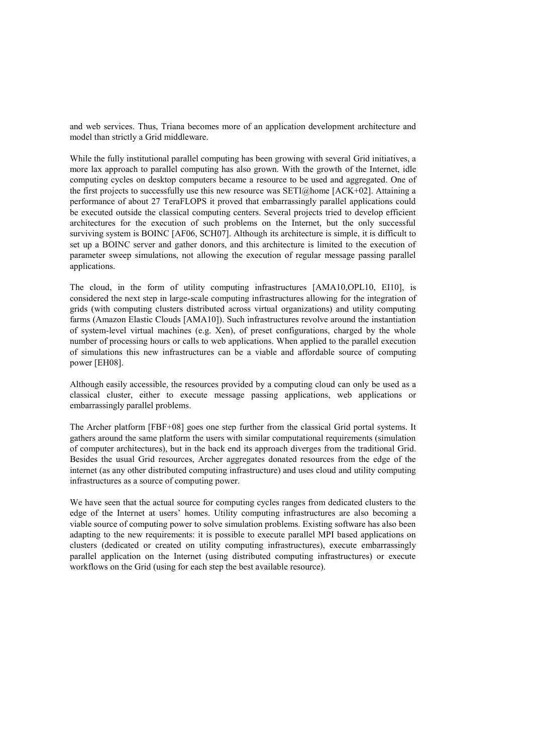and web services. Thus, Triana becomes more of an application development architecture and model than strictly a Grid middleware.

While the fully institutional parallel computing has been growing with several Grid initiatives, a more lax approach to parallel computing has also grown. With the growth of the Internet, idle computing cycles on desktop computers became a resource to be used and aggregated. One of the first projects to successfully use this new resource was  $SETI(\omega)$ home [ACK+02]. Attaining a performance of about 27 TeraFLOPS it proved that embarrassingly parallel applications could be executed outside the classical computing centers. Several projects tried to develop efficient architectures for the execution of such problems on the Internet, but the only successful surviving system is BOINC [AF06, SCH07]. Although its architecture is simple, it is difficult to set up a BOINC server and gather donors, and this architecture is limited to the execution of parameter sweep simulations, not allowing the execution of regular message passing parallel applications.

The cloud, in the form of utility computing infrastructures [AMA10,OPL10, EI10], is considered the next step in large-scale computing infrastructures allowing for the integration of grids (with computing clusters distributed across virtual organizations) and utility computing farms (Amazon Elastic Clouds [AMA10]). Such infrastructures revolve around the instantiation of system-level virtual machines (e.g. Xen), of preset configurations, charged by the whole number of processing hours or calls to web applications. When applied to the parallel execution of simulations this new infrastructures can be a viable and affordable source of computing power [EH08].

Although easily accessible, the resources provided by a computing cloud can only be used as a classical cluster, either to execute message passing applications, web applications or embarrassingly parallel problems.

The Archer platform [FBF+08] goes one step further from the classical Grid portal systems. It gathers around the same platform the users with similar computational requirements (simulation of computer architectures), but in the back end its approach diverges from the traditional Grid. Besides the usual Grid resources, Archer aggregates donated resources from the edge of the internet (as any other distributed computing infrastructure) and uses cloud and utility computing infrastructures as a source of computing power.

We have seen that the actual source for computing cycles ranges from dedicated clusters to the edge of the Internet at users' homes. Utility computing infrastructures are also becoming a viable source of computing power to solve simulation problems. Existing software has also been adapting to the new requirements: it is possible to execute parallel MPI based applications on clusters (dedicated or created on utility computing infrastructures), execute embarrassingly parallel application on the Internet (using distributed computing infrastructures) or execute workflows on the Grid (using for each step the best available resource).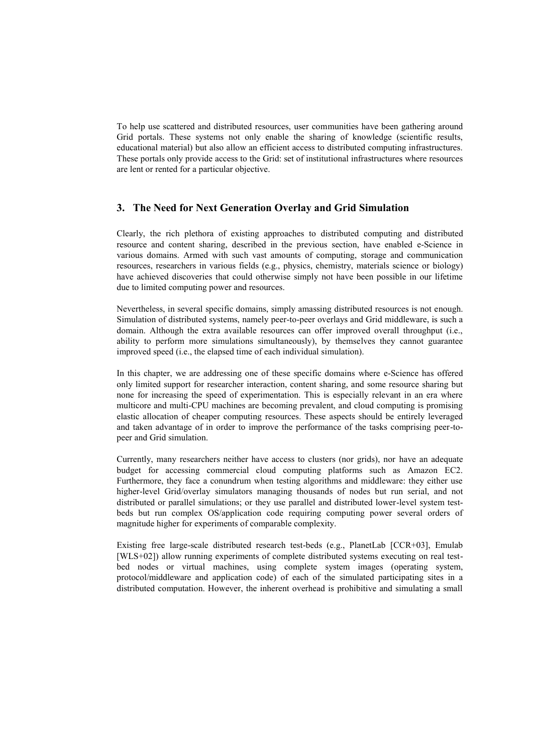To help use scattered and distributed resources, user communities have been gathering around Grid portals. These systems not only enable the sharing of knowledge (scientific results, educational material) but also allow an efficient access to distributed computing infrastructures. These portals only provide access to the Grid: set of institutional infrastructures where resources are lent or rented for a particular objective.

# <span id="page-7-0"></span>**3. The Need for Next Generation Overlay and Grid Simulation**

Clearly, the rich plethora of existing approaches to distributed computing and distributed resource and content sharing, described in the previous section, have enabled e-Science in various domains. Armed with such vast amounts of computing, storage and communication resources, researchers in various fields (e.g., physics, chemistry, materials science or biology) have achieved discoveries that could otherwise simply not have been possible in our lifetime due to limited computing power and resources.

Nevertheless, in several specific domains, simply amassing distributed resources is not enough. Simulation of distributed systems, namely peer-to-peer overlays and Grid middleware, is such a domain. Although the extra available resources can offer improved overall throughput (i.e., ability to perform more simulations simultaneously), by themselves they cannot guarantee improved speed (i.e., the elapsed time of each individual simulation).

In this chapter, we are addressing one of these specific domains where e-Science has offered only limited support for researcher interaction, content sharing, and some resource sharing but none for increasing the speed of experimentation. This is especially relevant in an era where multicore and multi-CPU machines are becoming prevalent, and cloud computing is promising elastic allocation of cheaper computing resources. These aspects should be entirely leveraged and taken advantage of in order to improve the performance of the tasks comprising peer-topeer and Grid simulation.

Currently, many researchers neither have access to clusters (nor grids), nor have an adequate budget for accessing commercial cloud computing platforms such as Amazon EC2. Furthermore, they face a conundrum when testing algorithms and middleware: they either use higher-level Grid/overlay simulators managing thousands of nodes but run serial, and not distributed or parallel simulations; or they use parallel and distributed lower-level system testbeds but run complex OS/application code requiring computing power several orders of magnitude higher for experiments of comparable complexity.

Existing free large-scale distributed research test-beds (e.g., PlanetLab [CCR+03], Emulab [WLS+02]) allow running experiments of complete distributed systems executing on real testbed nodes or virtual machines, using complete system images (operating system, protocol/middleware and application code) of each of the simulated participating sites in a distributed computation. However, the inherent overhead is prohibitive and simulating a small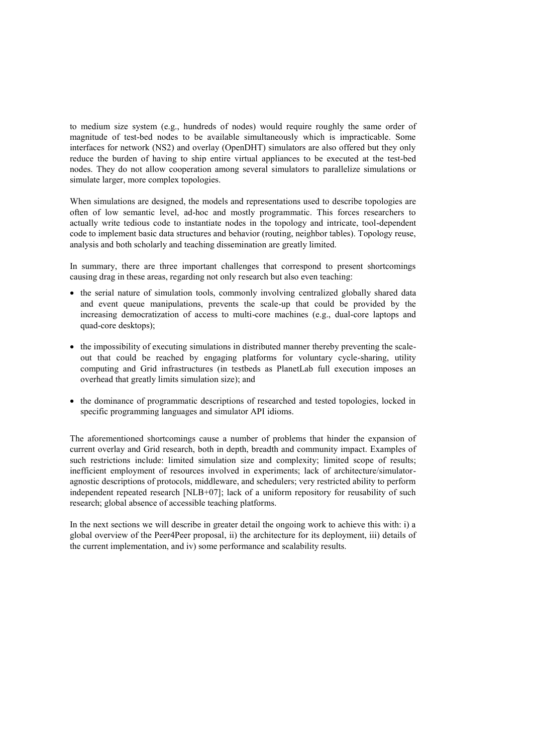to medium size system (e.g., hundreds of nodes) would require roughly the same order of magnitude of test-bed nodes to be available simultaneously which is impracticable. Some interfaces for network (NS2) and overlay (OpenDHT) simulators are also offered but they only reduce the burden of having to ship entire virtual appliances to be executed at the test-bed nodes. They do not allow cooperation among several simulators to parallelize simulations or simulate larger, more complex topologies.

When simulations are designed, the models and representations used to describe topologies are often of low semantic level, ad-hoc and mostly programmatic. This forces researchers to actually write tedious code to instantiate nodes in the topology and intricate, tool-dependent code to implement basic data structures and behavior (routing, neighbor tables). Topology reuse, analysis and both scholarly and teaching dissemination are greatly limited.

In summary, there are three important challenges that correspond to present shortcomings causing drag in these areas, regarding not only research but also even teaching:

- the serial nature of simulation tools, commonly involving centralized globally shared data and event queue manipulations, prevents the scale-up that could be provided by the increasing democratization of access to multi-core machines (e.g., dual-core laptops and quad-core desktops);
- the impossibility of executing simulations in distributed manner thereby preventing the scaleout that could be reached by engaging platforms for voluntary cycle-sharing, utility computing and Grid infrastructures (in testbeds as PlanetLab full execution imposes an overhead that greatly limits simulation size); and
- the dominance of programmatic descriptions of researched and tested topologies, locked in specific programming languages and simulator API idioms.

The aforementioned shortcomings cause a number of problems that hinder the expansion of current overlay and Grid research, both in depth, breadth and community impact. Examples of such restrictions include: limited simulation size and complexity; limited scope of results; inefficient employment of resources involved in experiments; lack of architecture/simulatoragnostic descriptions of protocols, middleware, and schedulers; very restricted ability to perform independent repeated research [NLB+07]; lack of a uniform repository for reusability of such research; global absence of accessible teaching platforms.

In the next sections we will describe in greater detail the ongoing work to achieve this with: i) a global overview of the Peer4Peer proposal, ii) the architecture for its deployment, iii) details of the current implementation, and iv) some performance and scalability results.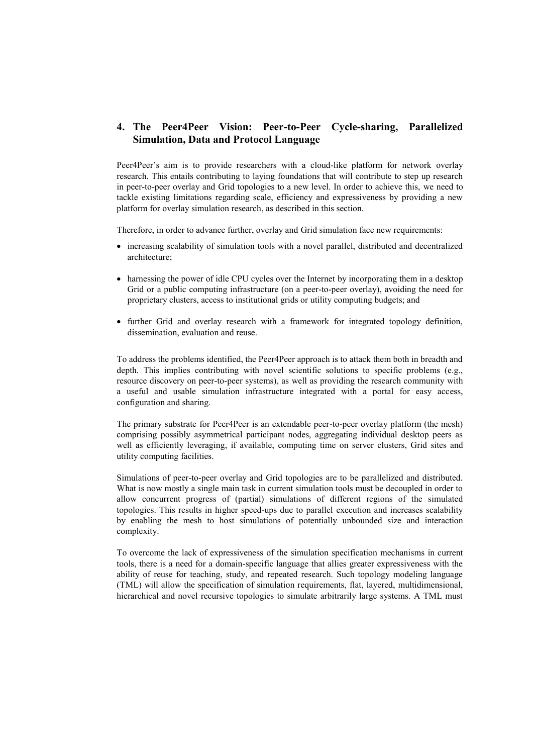# <span id="page-9-0"></span>**4. The Peer4Peer Vision: Peer-to-Peer Cycle-sharing, Parallelized Simulation, Data and Protocol Language**

Peer4Peer's aim is to provide researchers with a cloud-like platform for network overlay research. This entails contributing to laying foundations that will contribute to step up research in peer-to-peer overlay and Grid topologies to a new level. In order to achieve this, we need to tackle existing limitations regarding scale, efficiency and expressiveness by providing a new platform for overlay simulation research, as described in this section.

Therefore, in order to advance further, overlay and Grid simulation face new requirements:

- increasing scalability of simulation tools with a novel parallel, distributed and decentralized architecture;
- harnessing the power of idle CPU cycles over the Internet by incorporating them in a desktop Grid or a public computing infrastructure (on a peer-to-peer overlay), avoiding the need for proprietary clusters, access to institutional grids or utility computing budgets; and
- further Grid and overlay research with a framework for integrated topology definition, dissemination, evaluation and reuse.

To address the problems identified, the Peer4Peer approach is to attack them both in breadth and depth. This implies contributing with novel scientific solutions to specific problems (e.g., resource discovery on peer-to-peer systems), as well as providing the research community with a useful and usable simulation infrastructure integrated with a portal for easy access, configuration and sharing.

The primary substrate for Peer4Peer is an extendable peer-to-peer overlay platform (the mesh) comprising possibly asymmetrical participant nodes, aggregating individual desktop peers as well as efficiently leveraging, if available, computing time on server clusters, Grid sites and utility computing facilities.

Simulations of peer-to-peer overlay and Grid topologies are to be parallelized and distributed. What is now mostly a single main task in current simulation tools must be decoupled in order to allow concurrent progress of (partial) simulations of different regions of the simulated topologies. This results in higher speed-ups due to parallel execution and increases scalability by enabling the mesh to host simulations of potentially unbounded size and interaction complexity.

To overcome the lack of expressiveness of the simulation specification mechanisms in current tools, there is a need for a domain-specific language that allies greater expressiveness with the ability of reuse for teaching, study, and repeated research. Such topology modeling language (TML) will allow the specification of simulation requirements, flat, layered, multidimensional, hierarchical and novel recursive topologies to simulate arbitrarily large systems. A TML must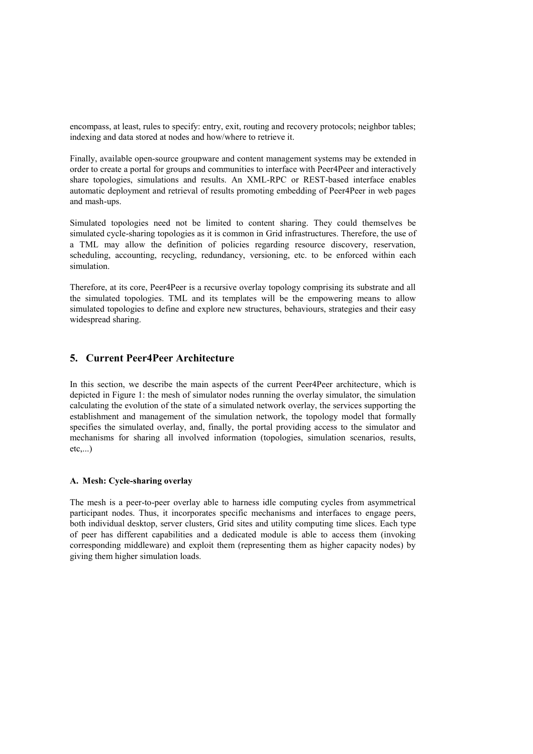encompass, at least, rules to specify: entry, exit, routing and recovery protocols; neighbor tables; indexing and data stored at nodes and how/where to retrieve it.

Finally, available open-source groupware and content management systems may be extended in order to create a portal for groups and communities to interface with Peer4Peer and interactively share topologies, simulations and results. An XML-RPC or REST-based interface enables automatic deployment and retrieval of results promoting embedding of Peer4Peer in web pages and mash-ups.

Simulated topologies need not be limited to content sharing. They could themselves be simulated cycle-sharing topologies as it is common in Grid infrastructures. Therefore, the use of a TML may allow the definition of policies regarding resource discovery, reservation, scheduling, accounting, recycling, redundancy, versioning, etc. to be enforced within each simulation.

Therefore, at its core, Peer4Peer is a recursive overlay topology comprising its substrate and all the simulated topologies. TML and its templates will be the empowering means to allow simulated topologies to define and explore new structures, behaviours, strategies and their easy widespread sharing.

# <span id="page-10-0"></span>**5. Current Peer4Peer Architecture**

In this section, we describe the main aspects of the current Peer4Peer architecture, which is depicted in [Figure 1:](#page-11-0) the mesh of simulator nodes running the overlay simulator, the simulation calculating the evolution of the state of a simulated network overlay, the services supporting the establishment and management of the simulation network, the topology model that formally specifies the simulated overlay, and, finally, the portal providing access to the simulator and mechanisms for sharing all involved information (topologies, simulation scenarios, results,  $etc,...)$ 

#### **A. Mesh: Cycle-sharing overlay**

The mesh is a peer-to-peer overlay able to harness idle computing cycles from asymmetrical participant nodes. Thus, it incorporates specific mechanisms and interfaces to engage peers, both individual desktop, server clusters, Grid sites and utility computing time slices. Each type of peer has different capabilities and a dedicated module is able to access them (invoking corresponding middleware) and exploit them (representing them as higher capacity nodes) by giving them higher simulation loads.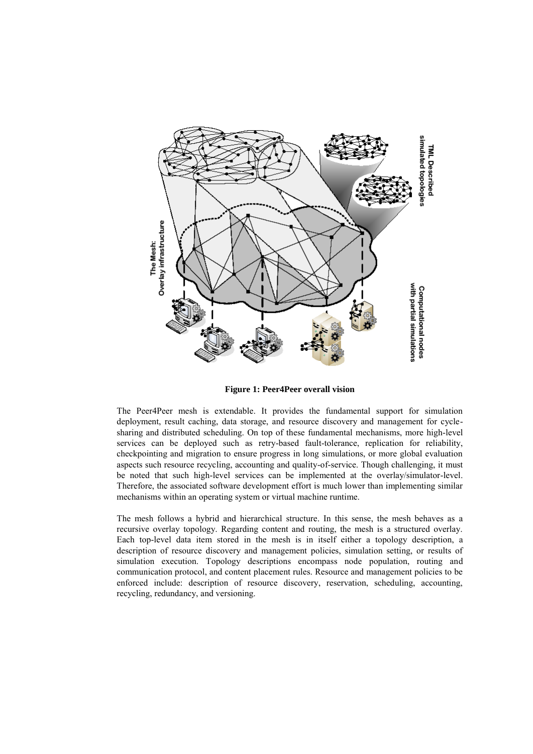

**Figure 1: Peer4Peer overall vision** 

<span id="page-11-0"></span>The Peer4Peer mesh is extendable. It provides the fundamental support for simulation deployment, result caching, data storage, and resource discovery and management for cyclesharing and distributed scheduling. On top of these fundamental mechanisms, more high-level services can be deployed such as retry-based fault-tolerance, replication for reliability, checkpointing and migration to ensure progress in long simulations, or more global evaluation aspects such resource recycling, accounting and quality-of-service. Though challenging, it must be noted that such high-level services can be implemented at the overlay/simulator-level. Therefore, the associated software development effort is much lower than implementing similar mechanisms within an operating system or virtual machine runtime.

The mesh follows a hybrid and hierarchical structure. In this sense, the mesh behaves as a recursive overlay topology. Regarding content and routing, the mesh is a structured overlay. Each top-level data item stored in the mesh is in itself either a topology description, a description of resource discovery and management policies, simulation setting, or results of simulation execution. Topology descriptions encompass node population, routing and communication protocol, and content placement rules. Resource and management policies to be enforced include: description of resource discovery, reservation, scheduling, accounting, recycling, redundancy, and versioning.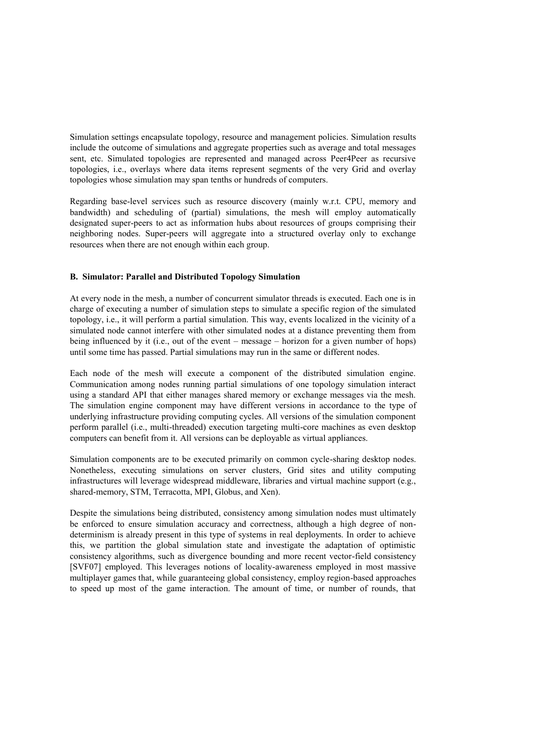Simulation settings encapsulate topology, resource and management policies. Simulation results include the outcome of simulations and aggregate properties such as average and total messages sent, etc. Simulated topologies are represented and managed across Peer4Peer as recursive topologies, i.e., overlays where data items represent segments of the very Grid and overlay topologies whose simulation may span tenths or hundreds of computers.

Regarding base-level services such as resource discovery (mainly w.r.t. CPU, memory and bandwidth) and scheduling of (partial) simulations, the mesh will employ automatically designated super-peers to act as information hubs about resources of groups comprising their neighboring nodes. Super-peers will aggregate into a structured overlay only to exchange resources when there are not enough within each group.

#### **B. Simulator: Parallel and Distributed Topology Simulation**

At every node in the mesh, a number of concurrent simulator threads is executed. Each one is in charge of executing a number of simulation steps to simulate a specific region of the simulated topology, i.e., it will perform a partial simulation. This way, events localized in the vicinity of a simulated node cannot interfere with other simulated nodes at a distance preventing them from being influenced by it (i.e., out of the event – message – horizon for a given number of hops) until some time has passed. Partial simulations may run in the same or different nodes.

Each node of the mesh will execute a component of the distributed simulation engine. Communication among nodes running partial simulations of one topology simulation interact using a standard API that either manages shared memory or exchange messages via the mesh. The simulation engine component may have different versions in accordance to the type of underlying infrastructure providing computing cycles. All versions of the simulation component perform parallel (i.e., multi-threaded) execution targeting multi-core machines as even desktop computers can benefit from it. All versions can be deployable as virtual appliances.

Simulation components are to be executed primarily on common cycle-sharing desktop nodes. Nonetheless, executing simulations on server clusters, Grid sites and utility computing infrastructures will leverage widespread middleware, libraries and virtual machine support (e.g., shared-memory, STM, Terracotta, MPI, Globus, and Xen).

Despite the simulations being distributed, consistency among simulation nodes must ultimately be enforced to ensure simulation accuracy and correctness, although a high degree of nondeterminism is already present in this type of systems in real deployments. In order to achieve this, we partition the global simulation state and investigate the adaptation of optimistic consistency algorithms, such as divergence bounding and more recent vector-field consistency [SVF07] employed. This leverages notions of locality-awareness employed in most massive multiplayer games that, while guaranteeing global consistency, employ region-based approaches to speed up most of the game interaction. The amount of time, or number of rounds, that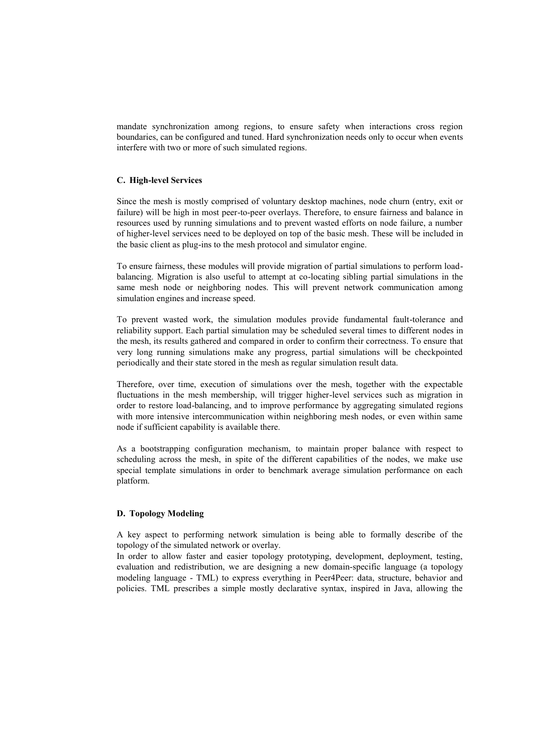mandate synchronization among regions, to ensure safety when interactions cross region boundaries, can be configured and tuned. Hard synchronization needs only to occur when events interfere with two or more of such simulated regions.

### **C. High-level Services**

Since the mesh is mostly comprised of voluntary desktop machines, node churn (entry, exit or failure) will be high in most peer-to-peer overlays. Therefore, to ensure fairness and balance in resources used by running simulations and to prevent wasted efforts on node failure, a number of higher-level services need to be deployed on top of the basic mesh. These will be included in the basic client as plug-ins to the mesh protocol and simulator engine.

To ensure fairness, these modules will provide migration of partial simulations to perform loadbalancing. Migration is also useful to attempt at co-locating sibling partial simulations in the same mesh node or neighboring nodes. This will prevent network communication among simulation engines and increase speed.

To prevent wasted work, the simulation modules provide fundamental fault-tolerance and reliability support. Each partial simulation may be scheduled several times to different nodes in the mesh, its results gathered and compared in order to confirm their correctness. To ensure that very long running simulations make any progress, partial simulations will be checkpointed periodically and their state stored in the mesh as regular simulation result data.

Therefore, over time, execution of simulations over the mesh, together with the expectable fluctuations in the mesh membership, will trigger higher-level services such as migration in order to restore load-balancing, and to improve performance by aggregating simulated regions with more intensive intercommunication within neighboring mesh nodes, or even within same node if sufficient capability is available there.

As a bootstrapping configuration mechanism, to maintain proper balance with respect to scheduling across the mesh, in spite of the different capabilities of the nodes, we make use special template simulations in order to benchmark average simulation performance on each platform.

# **D. Topology Modeling**

A key aspect to performing network simulation is being able to formally describe of the topology of the simulated network or overlay.

In order to allow faster and easier topology prototyping, development, deployment, testing, evaluation and redistribution, we are designing a new domain-specific language (a topology modeling language - TML) to express everything in Peer4Peer: data, structure, behavior and policies. TML prescribes a simple mostly declarative syntax, inspired in Java, allowing the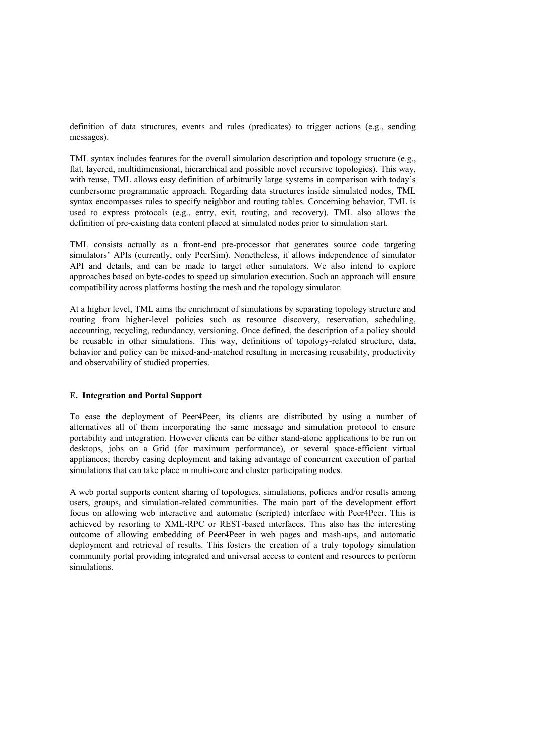definition of data structures, events and rules (predicates) to trigger actions (e.g., sending messages).

TML syntax includes features for the overall simulation description and topology structure (e.g., flat, layered, multidimensional, hierarchical and possible novel recursive topologies). This way, with reuse, TML allows easy definition of arbitrarily large systems in comparison with today's cumbersome programmatic approach. Regarding data structures inside simulated nodes, TML syntax encompasses rules to specify neighbor and routing tables. Concerning behavior, TML is used to express protocols (e.g., entry, exit, routing, and recovery). TML also allows the definition of pre-existing data content placed at simulated nodes prior to simulation start.

TML consists actually as a front-end pre-processor that generates source code targeting simulators' APIs (currently, only PeerSim). Nonetheless, if allows independence of simulator API and details, and can be made to target other simulators. We also intend to explore approaches based on byte-codes to speed up simulation execution. Such an approach will ensure compatibility across platforms hosting the mesh and the topology simulator.

At a higher level, TML aims the enrichment of simulations by separating topology structure and routing from higher-level policies such as resource discovery, reservation, scheduling, accounting, recycling, redundancy, versioning. Once defined, the description of a policy should be reusable in other simulations. This way, definitions of topology-related structure, data, behavior and policy can be mixed-and-matched resulting in increasing reusability, productivity and observability of studied properties.

#### **E. Integration and Portal Support**

To ease the deployment of Peer4Peer, its clients are distributed by using a number of alternatives all of them incorporating the same message and simulation protocol to ensure portability and integration. However clients can be either stand-alone applications to be run on desktops, jobs on a Grid (for maximum performance), or several space-efficient virtual appliances; thereby easing deployment and taking advantage of concurrent execution of partial simulations that can take place in multi-core and cluster participating nodes.

A web portal supports content sharing of topologies, simulations, policies and/or results among users, groups, and simulation-related communities. The main part of the development effort focus on allowing web interactive and automatic (scripted) interface with Peer4Peer. This is achieved by resorting to XML-RPC or REST-based interfaces. This also has the interesting outcome of allowing embedding of Peer4Peer in web pages and mash-ups, and automatic deployment and retrieval of results. This fosters the creation of a truly topology simulation community portal providing integrated and universal access to content and resources to perform simulations.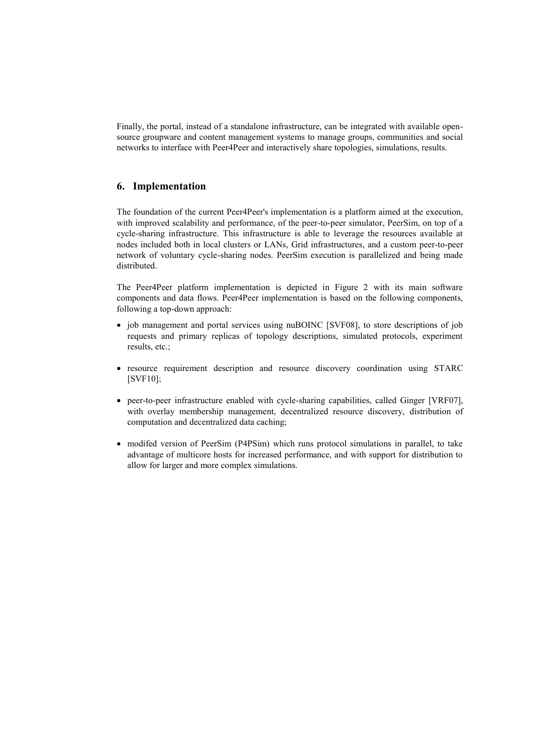Finally, the portal, instead of a standalone infrastructure, can be integrated with available opensource groupware and content management systems to manage groups, communities and social networks to interface with Peer4Peer and interactively share topologies, simulations, results.

# <span id="page-15-0"></span>**6. Implementation**

The foundation of the current Peer4Peer's implementation is a platform aimed at the execution, with improved scalability and performance, of the peer-to-peer simulator, PeerSim, on top of a cycle-sharing infrastructure. This infrastructure is able to leverage the resources available at nodes included both in local clusters or LANs, Grid infrastructures, and a custom peer-to-peer network of voluntary cycle-sharing nodes. PeerSim execution is parallelized and being made distributed.

The Peer4Peer platform implementation is depicted in Figure 2 with its main software components and data flows. Peer4Peer implementation is based on the following components, following a top-down approach:

- job management and portal services using nuBOINC [SVF08], to store descriptions of job requests and primary replicas of topology descriptions, simulated protocols, experiment results, etc.;
- resource requirement description and resource discovery coordination using STARC [SVF10];
- peer-to-peer infrastructure enabled with cycle-sharing capabilities, called Ginger [VRF07], with overlay membership management, decentralized resource discovery, distribution of computation and decentralized data caching;
- modifed version of PeerSim (P4PSim) which runs protocol simulations in parallel, to take advantage of multicore hosts for increased performance, and with support for distribution to allow for larger and more complex simulations.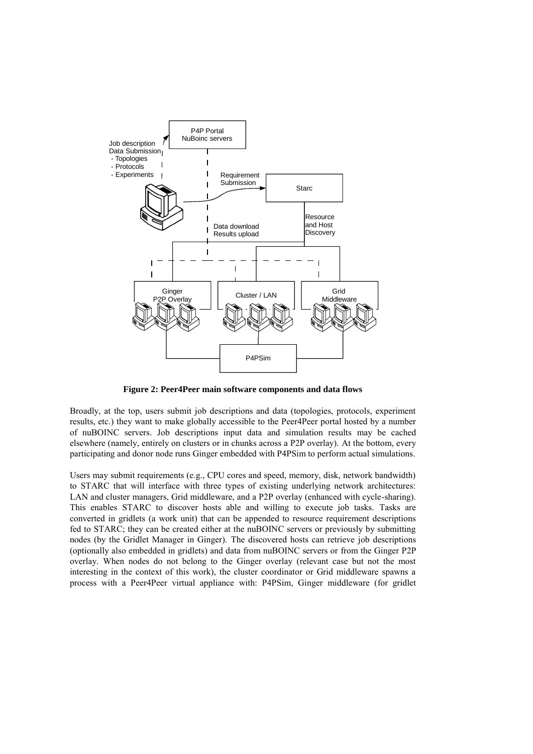

**Figure 2: Peer4Peer main software components and data flows**

Broadly, at the top, users submit job descriptions and data (topologies, protocols, experiment results, etc.) they want to make globally accessible to the Peer4Peer portal hosted by a number of nuBOINC servers. Job descriptions input data and simulation results may be cached elsewhere (namely, entirely on clusters or in chunks across a P2P overlay). At the bottom, every participating and donor node runs Ginger embedded with P4PSim to perform actual simulations.

Users may submit requirements (e.g., CPU cores and speed, memory, disk, network bandwidth) to STARC that will interface with three types of existing underlying network architectures: LAN and cluster managers, Grid middleware, and a P2P overlay (enhanced with cycle-sharing). This enables STARC to discover hosts able and willing to execute job tasks. Tasks are converted in gridlets (a work unit) that can be appended to resource requirement descriptions fed to STARC; they can be created either at the nuBOINC servers or previously by submitting nodes (by the Gridlet Manager in Ginger). The discovered hosts can retrieve job descriptions (optionally also embedded in gridlets) and data from nuBOINC servers or from the Ginger P2P overlay. When nodes do not belong to the Ginger overlay (relevant case but not the most interesting in the context of this work), the cluster coordinator or Grid middleware spawns a process with a Peer4Peer virtual appliance with: P4PSim, Ginger middleware (for gridlet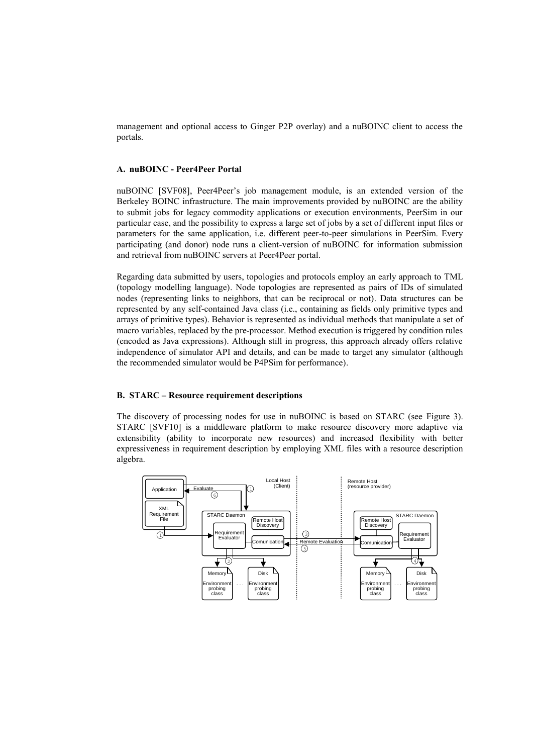management and optional access to Ginger P2P overlay) and a nuBOINC client to access the portals.

#### **A. nuBOINC - Peer4Peer Portal**

nuBOINC [SVF08], Peer4Peer's job management module, is an extended version of the Berkeley BOINC infrastructure. The main improvements provided by nuBOINC are the ability to submit jobs for legacy commodity applications or execution environments, PeerSim in our particular case, and the possibility to express a large set of jobs by a set of different input files or parameters for the same application, i.e. different peer-to-peer simulations in PeerSim. Every participating (and donor) node runs a client-version of nuBOINC for information submission and retrieval from nuBOINC servers at Peer4Peer portal.

Regarding data submitted by users, topologies and protocols employ an early approach to TML (topology modelling language). Node topologies are represented as pairs of IDs of simulated nodes (representing links to neighbors, that can be reciprocal or not). Data structures can be represented by any self-contained Java class (i.e., containing as fields only primitive types and arrays of primitive types). Behavior is represented as individual methods that manipulate a set of macro variables, replaced by the pre-processor. Method execution is triggered by condition rules (encoded as Java expressions). Although still in progress, this approach already offers relative independence of simulator API and details, and can be made to target any simulator (although the recommended simulator would be P4PSim for performance).

#### **B. STARC – Resource requirement descriptions**

The discovery of processing nodes for use in nuBOINC is based on STARC (see [Figure 3\)](#page-18-0). STARC [SVF10] is a middleware platform to make resource discovery more adaptive via extensibility (ability to incorporate new resources) and increased flexibility with better expressiveness in requirement description by employing XML files with a resource description algebra.

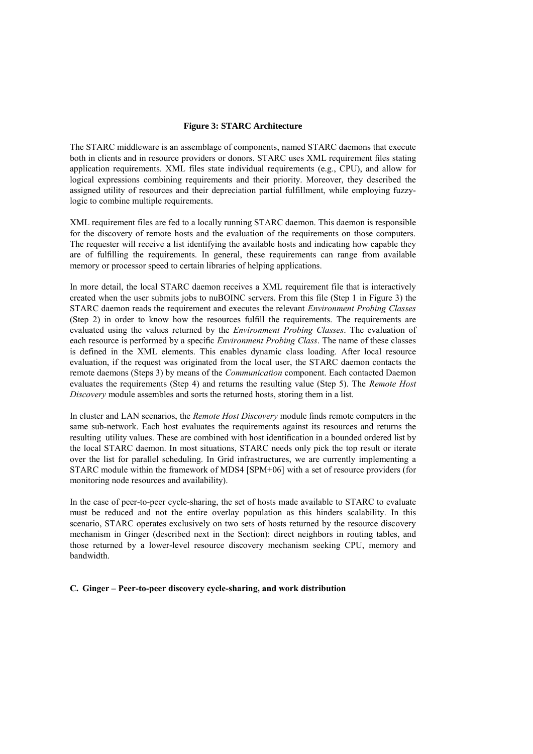#### **Figure 3: STARC Architecture**

<span id="page-18-0"></span>The STARC middleware is an assemblage of components, named STARC daemons that execute both in clients and in resource providers or donors. STARC uses XML requirement files stating application requirements. XML files state individual requirements (e.g., CPU), and allow for logical expressions combining requirements and their priority. Moreover, they described the assigned utility of resources and their depreciation partial fulfillment, while employing fuzzylogic to combine multiple requirements.

XML requirement files are fed to a locally running STARC daemon. This daemon is responsible for the discovery of remote hosts and the evaluation of the requirements on those computers. The requester will receive a list identifying the available hosts and indicating how capable they are of fulfilling the requirements. In general, these requirements can range from available memory or processor speed to certain libraries of helping applications.

In more detail, the local STARC daemon receives a XML requirement file that is interactively created when the user submits jobs to nuBOINC servers. From this file (Step 1 in Figure 3) the STARC daemon reads the requirement and executes the relevant *Environment Probing Classes* (Step 2) in order to know how the resources fulfill the requirements. The requirements are evaluated using the values returned by the *Environment Probing Classes*. The evaluation of each resource is performed by a specific *Environment Probing Class*. The name of these classes is defined in the XML elements. This enables dynamic class loading. After local resource evaluation, if the request was originated from the local user, the STARC daemon contacts the remote daemons (Steps 3) by means of the *Communication* component. Each contacted Daemon evaluates the requirements (Step 4) and returns the resulting value (Step 5). The *Remote Host Discovery* module assembles and sorts the returned hosts, storing them in a list.

In cluster and LAN scenarios, the *Remote Host Discovery* module finds remote computers in the same sub-network. Each host evaluates the requirements against its resources and returns the resulting utility values. These are combined with host identification in a bounded ordered list by the local STARC daemon. In most situations, STARC needs only pick the top result or iterate over the list for parallel scheduling. In Grid infrastructures, we are currently implementing a STARC module within the framework of MDS4 [SPM+06] with a set of resource providers (for monitoring node resources and availability).

In the case of peer-to-peer cycle-sharing, the set of hosts made available to STARC to evaluate must be reduced and not the entire overlay population as this hinders scalability. In this scenario, STARC operates exclusively on two sets of hosts returned by the resource discovery mechanism in Ginger (described next in the Section): direct neighbors in routing tables, and those returned by a lower-level resource discovery mechanism seeking CPU, memory and bandwidth.

**C. Ginger – Peer-to-peer discovery cycle-sharing, and work distribution**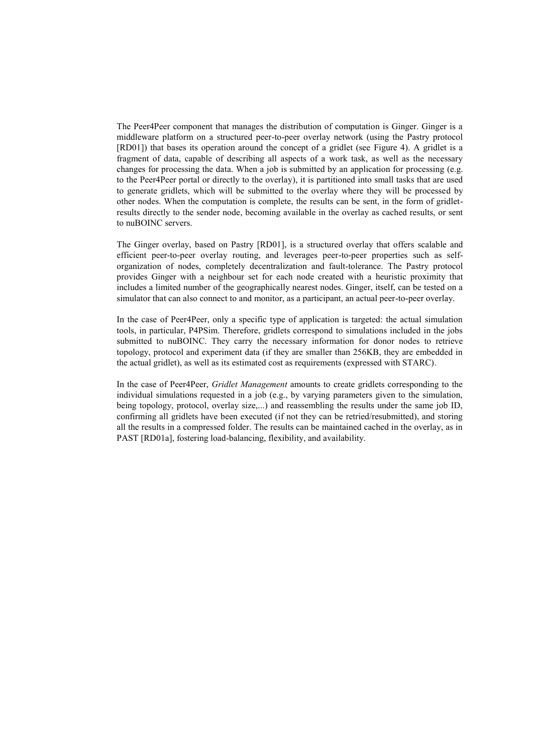The Peer4Peer component that manages the distribution of computation is Ginger. Ginger is a middleware platform on a structured peer-to-peer overlay network (using the Pastry protocol [RD01]) that bases its operation around the concept of a gridlet (see [Figure 4\)](#page-20-0). A gridlet is a fragment of data, capable of describing all aspects of a work task, as well as the necessary changes for processing the data. When a job is submitted by an application for processing (e.g. to the Peer4Peer portal or directly to the overlay), it is partitioned into small tasks that are used to generate gridlets, which will be submitted to the overlay where they will be processed by other nodes. When the computation is complete, the results can be sent, in the form of gridletresults directly to the sender node, becoming available in the overlay as cached results, or sent to nuBOINC servers.

The Ginger overlay, based on Pastry [RD01], is a structured overlay that offers scalable and efficient peer-to-peer overlay routing, and leverages peer-to-peer properties such as selforganization of nodes, completely decentralization and fault-tolerance. The Pastry protocol provides Ginger with a neighbour set for each node created with a heuristic proximity that includes a limited number of the geographically nearest nodes. Ginger, itself, can be tested on a simulator that can also connect to and monitor, as a participant, an actual peer-to-peer overlay.

In the case of Peer4Peer, only a specific type of application is targeted: the actual simulation tools, in particular, P4PSim. Therefore, gridlets correspond to simulations included in the jobs submitted to nuBOINC. They carry the necessary information for donor nodes to retrieve topology, protocol and experiment data (if they are smaller than 256KB, they are embedded in the actual gridlet), as well as its estimated cost as requirements (expressed with STARC).

In the case of Peer4Peer, *Gridlet Management* amounts to create gridlets corresponding to the individual simulations requested in a job (e.g., by varying parameters given to the simulation, being topology, protocol, overlay size,...) and reassembling the results under the same job ID, confirming all gridlets have been executed (if not they can be retried/resubmitted), and storing all the results in a compressed folder. The results can be maintained cached in the overlay, as in PAST [RD01a], fostering load-balancing, flexibility, and availability.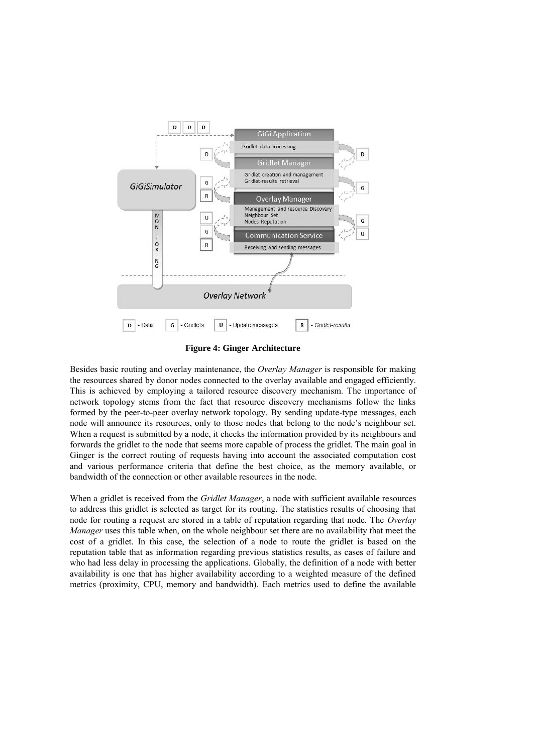

**Figure 4: Ginger Architecture**

<span id="page-20-0"></span>Besides basic routing and overlay maintenance, the *Overlay Manager* is responsible for making the resources shared by donor nodes connected to the overlay available and engaged efficiently. This is achieved by employing a tailored resource discovery mechanism. The importance of network topology stems from the fact that resource discovery mechanisms follow the links formed by the peer-to-peer overlay network topology. By sending update-type messages, each node will announce its resources, only to those nodes that belong to the node's neighbour set. When a request is submitted by a node, it checks the information provided by its neighbours and forwards the gridlet to the node that seems more capable of process the gridlet. The main goal in Ginger is the correct routing of requests having into account the associated computation cost and various performance criteria that define the best choice, as the memory available, or bandwidth of the connection or other available resources in the node.

When a gridlet is received from the *Gridlet Manager*, a node with sufficient available resources to address this gridlet is selected as target for its routing. The statistics results of choosing that node for routing a request are stored in a table of reputation regarding that node. The *Overlay Manager* uses this table when, on the whole neighbour set there are no availability that meet the cost of a gridlet. In this case, the selection of a node to route the gridlet is based on the reputation table that as information regarding previous statistics results, as cases of failure and who had less delay in processing the applications. Globally, the definition of a node with better availability is one that has higher availability according to a weighted measure of the defined metrics (proximity, CPU, memory and bandwidth). Each metrics used to define the available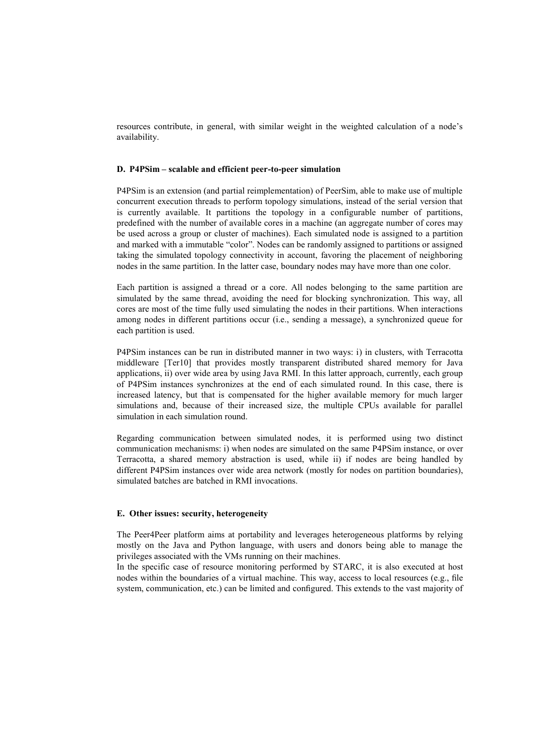resources contribute, in general, with similar weight in the weighted calculation of a node's availability.

#### **D. P4PSim – scalable and efficient peer-to-peer simulation**

P4PSim is an extension (and partial reimplementation) of PeerSim, able to make use of multiple concurrent execution threads to perform topology simulations, instead of the serial version that is currently available. It partitions the topology in a configurable number of partitions, predefined with the number of available cores in a machine (an aggregate number of cores may be used across a group or cluster of machines). Each simulated node is assigned to a partition and marked with a immutable "color". Nodes can be randomly assigned to partitions or assigned taking the simulated topology connectivity in account, favoring the placement of neighboring nodes in the same partition. In the latter case, boundary nodes may have more than one color.

Each partition is assigned a thread or a core. All nodes belonging to the same partition are simulated by the same thread, avoiding the need for blocking synchronization. This way, all cores are most of the time fully used simulating the nodes in their partitions. When interactions among nodes in different partitions occur (i.e., sending a message), a synchronized queue for each partition is used.

P4PSim instances can be run in distributed manner in two ways: i) in clusters, with Terracotta middleware [Ter10] that provides mostly transparent distributed shared memory for Java applications, ii) over wide area by using Java RMI. In this latter approach, currently, each group of P4PSim instances synchronizes at the end of each simulated round. In this case, there is increased latency, but that is compensated for the higher available memory for much larger simulations and, because of their increased size, the multiple CPUs available for parallel simulation in each simulation round.

Regarding communication between simulated nodes, it is performed using two distinct communication mechanisms: i) when nodes are simulated on the same P4PSim instance, or over Terracotta, a shared memory abstraction is used, while ii) if nodes are being handled by different P4PSim instances over wide area network (mostly for nodes on partition boundaries), simulated batches are batched in RMI invocations.

### **E. Other issues: security, heterogeneity**

The Peer4Peer platform aims at portability and leverages heterogeneous platforms by relying mostly on the Java and Python language, with users and donors being able to manage the privileges associated with the VMs running on their machines.

In the specific case of resource monitoring performed by STARC, it is also executed at host nodes within the boundaries of a virtual machine. This way, access to local resources (e.g., file system, communication, etc.) can be limited and configured. This extends to the vast majority of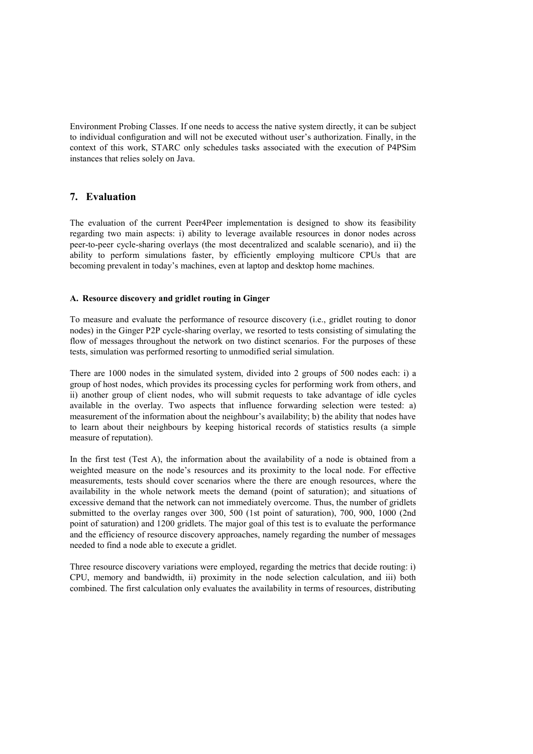Environment Probing Classes. If one needs to access the native system directly, it can be subject to individual configuration and will not be executed without user's authorization. Finally, in the context of this work, STARC only schedules tasks associated with the execution of P4PSim instances that relies solely on Java.

# <span id="page-22-0"></span>**7. Evaluation**

The evaluation of the current Peer4Peer implementation is designed to show its feasibility regarding two main aspects: i) ability to leverage available resources in donor nodes across peer-to-peer cycle-sharing overlays (the most decentralized and scalable scenario), and ii) the ability to perform simulations faster, by efficiently employing multicore CPUs that are becoming prevalent in today's machines, even at laptop and desktop home machines.

### **A. Resource discovery and gridlet routing in Ginger**

To measure and evaluate the performance of resource discovery (i.e., gridlet routing to donor nodes) in the Ginger P2P cycle-sharing overlay, we resorted to tests consisting of simulating the flow of messages throughout the network on two distinct scenarios. For the purposes of these tests, simulation was performed resorting to unmodified serial simulation.

There are 1000 nodes in the simulated system, divided into 2 groups of 500 nodes each: i) a group of host nodes, which provides its processing cycles for performing work from others, and ii) another group of client nodes, who will submit requests to take advantage of idle cycles available in the overlay. Two aspects that influence forwarding selection were tested: a) measurement of the information about the neighbour's availability; b) the ability that nodes have to learn about their neighbours by keeping historical records of statistics results (a simple measure of reputation).

In the first test (Test A), the information about the availability of a node is obtained from a weighted measure on the node's resources and its proximity to the local node. For effective measurements, tests should cover scenarios where the there are enough resources, where the availability in the whole network meets the demand (point of saturation); and situations of excessive demand that the network can not immediately overcome. Thus, the number of gridlets submitted to the overlay ranges over 300, 500 (1st point of saturation), 700, 900, 1000 (2nd point of saturation) and 1200 gridlets. The major goal of this test is to evaluate the performance and the efficiency of resource discovery approaches, namely regarding the number of messages needed to find a node able to execute a gridlet.

Three resource discovery variations were employed, regarding the metrics that decide routing: i) CPU, memory and bandwidth, ii) proximity in the node selection calculation, and iii) both combined. The first calculation only evaluates the availability in terms of resources, distributing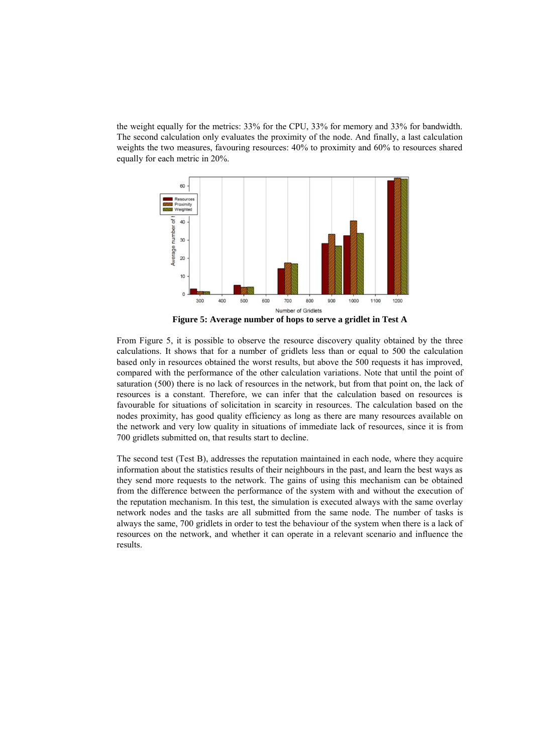the weight equally for the metrics: 33% for the CPU, 33% for memory and 33% for bandwidth. The second calculation only evaluates the proximity of the node. And finally, a last calculation weights the two measures, favouring resources: 40% to proximity and 60% to resources shared equally for each metric in 20%.



**Figure 5: Average number of hops to serve a gridlet in Test A**

From Figure 5, it is possible to observe the resource discovery quality obtained by the three calculations. It shows that for a number of gridlets less than or equal to 500 the calculation based only in resources obtained the worst results, but above the 500 requests it has improved, compared with the performance of the other calculation variations. Note that until the point of saturation (500) there is no lack of resources in the network, but from that point on, the lack of resources is a constant. Therefore, we can infer that the calculation based on resources is favourable for situations of solicitation in scarcity in resources. The calculation based on the nodes proximity, has good quality efficiency as long as there are many resources available on the network and very low quality in situations of immediate lack of resources, since it is from 700 gridlets submitted on, that results start to decline.

The second test (Test B), addresses the reputation maintained in each node, where they acquire information about the statistics results of their neighbours in the past, and learn the best ways as they send more requests to the network. The gains of using this mechanism can be obtained from the difference between the performance of the system with and without the execution of the reputation mechanism. In this test, the simulation is executed always with the same overlay network nodes and the tasks are all submitted from the same node. The number of tasks is always the same, 700 gridlets in order to test the behaviour of the system when there is a lack of resources on the network, and whether it can operate in a relevant scenario and influence the results.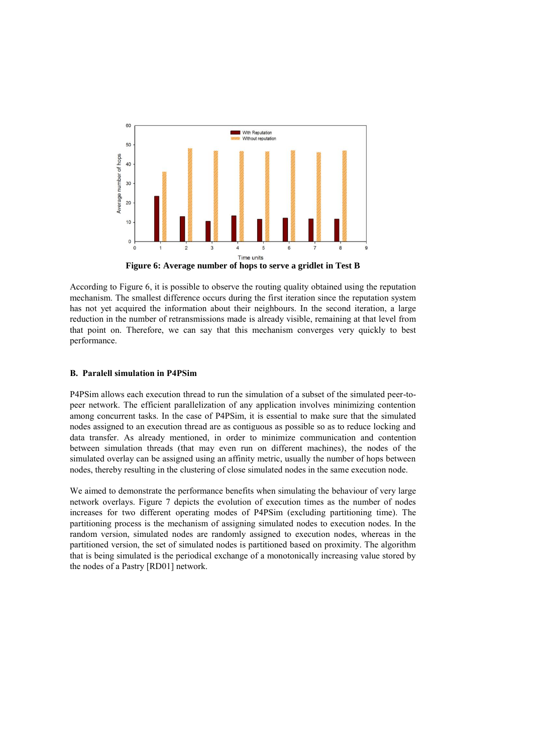

**Figure 6: Average number of hops to serve a gridlet in Test B**

According to Figure 6, it is possible to observe the routing quality obtained using the reputation mechanism. The smallest difference occurs during the first iteration since the reputation system has not yet acquired the information about their neighbours. In the second iteration, a large reduction in the number of retransmissions made is already visible, remaining at that level from that point on. Therefore, we can say that this mechanism converges very quickly to best performance.

## **B. Paralell simulation in P4PSim**

P4PSim allows each execution thread to run the simulation of a subset of the simulated peer-topeer network. The efficient parallelization of any application involves minimizing contention among concurrent tasks. In the case of P4PSim, it is essential to make sure that the simulated nodes assigned to an execution thread are as contiguous as possible so as to reduce locking and data transfer. As already mentioned, in order to minimize communication and contention between simulation threads (that may even run on different machines), the nodes of the simulated overlay can be assigned using an affinity metric, usually the number of hops between nodes, thereby resulting in the clustering of close simulated nodes in the same execution node.

We aimed to demonstrate the performance benefits when simulating the behaviour of very large network overlays. Figure 7 depicts the evolution of execution times as the number of nodes increases for two different operating modes of P4PSim (excluding partitioning time). The partitioning process is the mechanism of assigning simulated nodes to execution nodes. In the random version, simulated nodes are randomly assigned to execution nodes, whereas in the partitioned version, the set of simulated nodes is partitioned based on proximity. The algorithm that is being simulated is the periodical exchange of a monotonically increasing value stored by the nodes of a Pastry [RD01] network.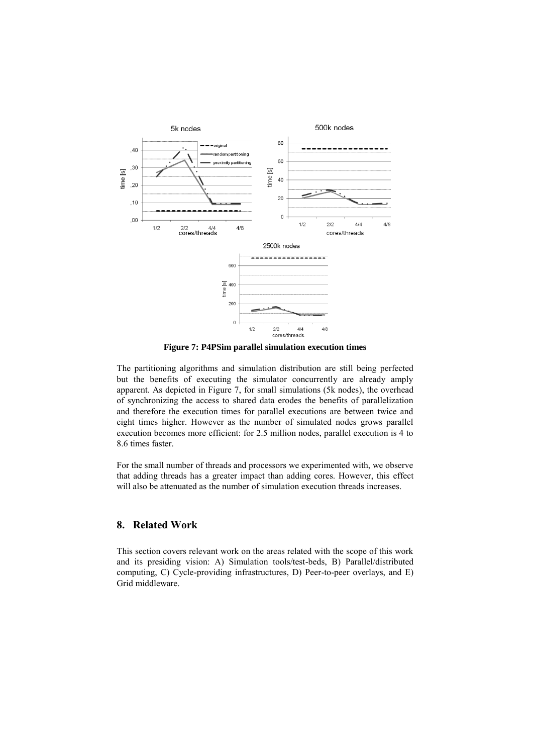

**Figure 7: P4PSim parallel simulation execution times**

The partitioning algorithms and simulation distribution are still being perfected but the benefits of executing the simulator concurrently are already amply apparent. As depicted in Figure 7, for small simulations (5k nodes), the overhead of synchronizing the access to shared data erodes the benefits of parallelization and therefore the execution times for parallel executions are between twice and eight times higher. However as the number of simulated nodes grows parallel execution becomes more efficient: for 2.5 million nodes, parallel execution is 4 to 8.6 times faster.

For the small number of threads and processors we experimented with, we observe that adding threads has a greater impact than adding cores. However, this effect will also be attenuated as the number of simulation execution threads increases.

# <span id="page-25-0"></span>**8. Related Work**

This section covers relevant work on the areas related with the scope of this work and its presiding vision: A) Simulation tools/test-beds, B) Parallel/distributed computing, C) Cycle-providing infrastructures, D) Peer-to-peer overlays, and E) Grid middleware.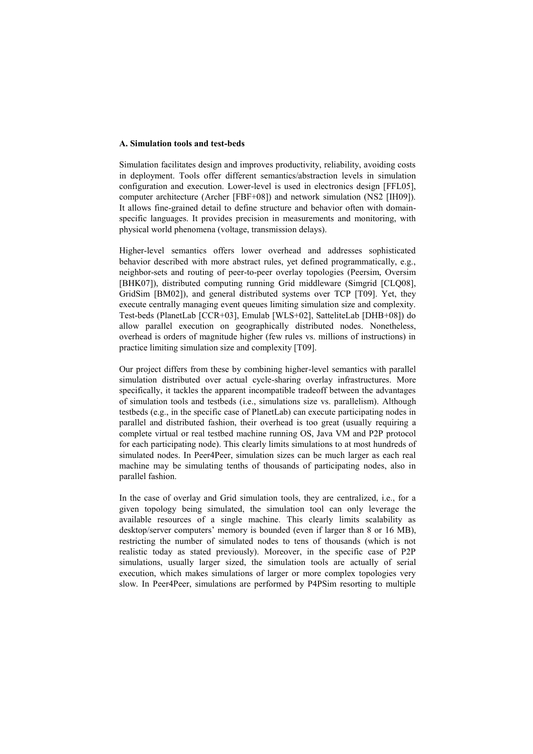### **A. Simulation tools and test-beds**

Simulation facilitates design and improves productivity, reliability, avoiding costs in deployment. Tools offer different semantics/abstraction levels in simulation configuration and execution. Lower-level is used in electronics design [FFL05], computer architecture (Archer [FBF+08]) and network simulation (NS2 [IH09]). It allows fine-grained detail to define structure and behavior often with domainspecific languages. It provides precision in measurements and monitoring, with physical world phenomena (voltage, transmission delays).

Higher-level semantics offers lower overhead and addresses sophisticated behavior described with more abstract rules, yet defined programmatically, e.g., neighbor-sets and routing of peer-to-peer overlay topologies (Peersim, Oversim [BHK07]), distributed computing running Grid middleware (Simgrid [CLQ08], GridSim [BM02]), and general distributed systems over TCP [T09]. Yet, they execute centrally managing event queues limiting simulation size and complexity. Test-beds (PlanetLab [CCR+03], Emulab [WLS+02], SatteliteLab [DHB+08]) do allow parallel execution on geographically distributed nodes. Nonetheless, overhead is orders of magnitude higher (few rules vs. millions of instructions) in practice limiting simulation size and complexity [T09].

Our project differs from these by combining higher-level semantics with parallel simulation distributed over actual cycle-sharing overlay infrastructures. More specifically, it tackles the apparent incompatible tradeoff between the advantages of simulation tools and testbeds (i.e., simulations size vs. parallelism). Although testbeds (e.g., in the specific case of PlanetLab) can execute participating nodes in parallel and distributed fashion, their overhead is too great (usually requiring a complete virtual or real testbed machine running OS, Java VM and P2P protocol for each participating node). This clearly limits simulations to at most hundreds of simulated nodes. In Peer4Peer, simulation sizes can be much larger as each real machine may be simulating tenths of thousands of participating nodes, also in parallel fashion.

In the case of overlay and Grid simulation tools, they are centralized, i.e., for a given topology being simulated, the simulation tool can only leverage the available resources of a single machine. This clearly limits scalability as desktop/server computers' memory is bounded (even if larger than 8 or 16 MB), restricting the number of simulated nodes to tens of thousands (which is not realistic today as stated previously). Moreover, in the specific case of P2P simulations, usually larger sized, the simulation tools are actually of serial execution, which makes simulations of larger or more complex topologies very slow. In Peer4Peer, simulations are performed by P4PSim resorting to multiple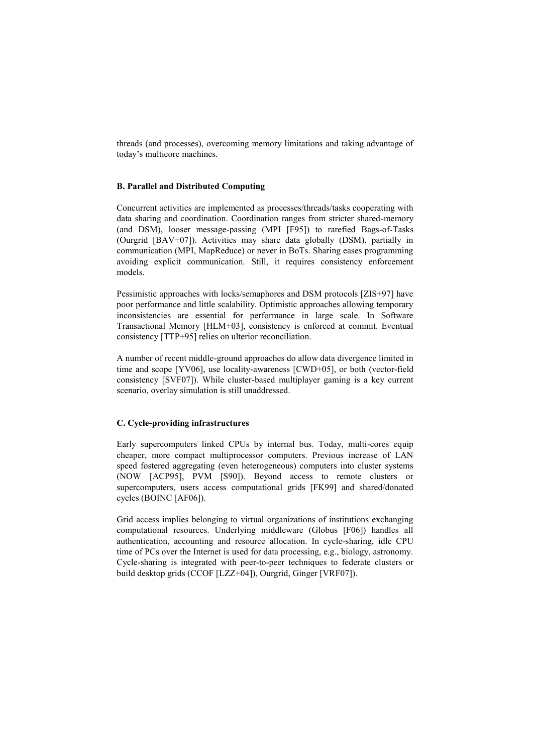threads (and processes), overcoming memory limitations and taking advantage of today's multicore machines.

### **B. Parallel and Distributed Computing**

Concurrent activities are implemented as processes/threads/tasks cooperating with data sharing and coordination. Coordination ranges from stricter shared-memory (and DSM), looser message-passing (MPI [F95]) to rarefied Bags-of-Tasks (Ourgrid [BAV+07]). Activities may share data globally (DSM), partially in communication (MPI, MapReduce) or never in BoTs. Sharing eases programming avoiding explicit communication. Still, it requires consistency enforcement models.

Pessimistic approaches with locks/semaphores and DSM protocols [ZIS+97] have poor performance and little scalability. Optimistic approaches allowing temporary inconsistencies are essential for performance in large scale. In Software Transactional Memory [HLM+03], consistency is enforced at commit. Eventual consistency [TTP+95] relies on ulterior reconciliation.

A number of recent middle-ground approaches do allow data divergence limited in time and scope [YV06], use locality-awareness [CWD+05], or both (vector-field consistency [SVF07]). While cluster-based multiplayer gaming is a key current scenario, overlay simulation is still unaddressed.

#### **C. Cycle-providing infrastructures**

Early supercomputers linked CPUs by internal bus. Today, multi-cores equip cheaper, more compact multiprocessor computers. Previous increase of LAN speed fostered aggregating (even heterogeneous) computers into cluster systems (NOW [ACP95], PVM [S90]). Beyond access to remote clusters or supercomputers, users access computational grids [FK99] and shared/donated cycles (BOINC [AF06]).

Grid access implies belonging to virtual organizations of institutions exchanging computational resources. Underlying middleware (Globus [F06]) handles all authentication, accounting and resource allocation. In cycle-sharing, idle CPU time of PCs over the Internet is used for data processing, e.g., biology, astronomy. Cycle-sharing is integrated with peer-to-peer techniques to federate clusters or build desktop grids (CCOF [LZZ+04]), Ourgrid, Ginger [VRF07]).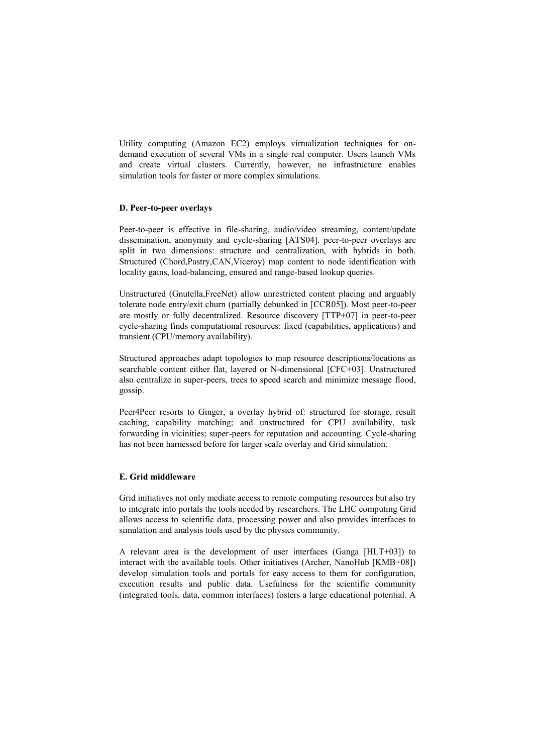Utility computing (Amazon EC2) employs virtualization techniques for ondemand execution of several VMs in a single real computer. Users launch VMs and create virtual clusters. Currently, however, no infrastructure enables simulation tools for faster or more complex simulations.

#### **D. Peer-to-peer overlays**

Peer-to-peer is effective in file-sharing, audio/video streaming, content/update dissemination, anonymity and cycle-sharing [ATS04]. peer-to-peer overlays are split in two dimensions: structure and centralization, with hybrids in both. Structured (Chord,Pastry,CAN,Viceroy) map content to node identification with locality gains, load-balancing, ensured and range-based lookup queries.

Unstructured (Gnutella,FreeNet) allow unrestricted content placing and arguably tolerate node entry/exit churn (partially debunked in [CCR05]). Most peer-to-peer are mostly or fully decentralized. Resource discovery [TTP+07] in peer-to-peer cycle-sharing finds computational resources: fixed (capabilities, applications) and transient (CPU/memory availability).

Structured approaches adapt topologies to map resource descriptions/locations as searchable content either flat, layered or N-dimensional [CFC+03]. Unstructured also centralize in super-peers, trees to speed search and minimize message flood, gossip.

Peer4Peer resorts to Ginger, a overlay hybrid of: structured for storage, result caching, capability matching; and unstructured for CPU availability, task forwarding in vicinities; super-peers for reputation and accounting. Cycle-sharing has not been harnessed before for larger scale overlay and Grid simulation.

# **E. Grid middleware**

Grid initiatives not only mediate access to remote computing resources but also try to integrate into portals the tools needed by researchers. The LHC computing Grid allows access to scientific data, processing power and also provides interfaces to simulation and analysis tools used by the physics community.

A relevant area is the development of user interfaces (Ganga [HLT+03]) to interact with the available tools. Other initiatives (Archer, NanoHub [KMB+08]) develop simulation tools and portals for easy access to them for configuration, execution results and public data. Usefulness for the scientific community (integrated tools, data, common interfaces) fosters a large educational potential. A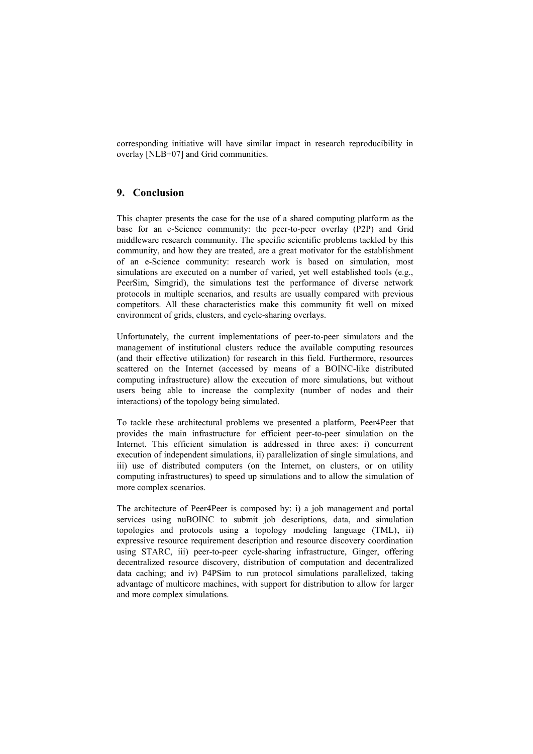corresponding initiative will have similar impact in research reproducibility in overlay [NLB+07] and Grid communities.

# **9. Conclusion**

This chapter presents the case for the use of a shared computing platform as the base for an e-Science community: the peer-to-peer overlay (P2P) and Grid middleware research community. The specific scientific problems tackled by this community, and how they are treated, are a great motivator for the establishment of an e-Science community: research work is based on simulation, most simulations are executed on a number of varied, yet well established tools (e.g., PeerSim, Simgrid), the simulations test the performance of diverse network protocols in multiple scenarios, and results are usually compared with previous competitors. All these characteristics make this community fit well on mixed environment of grids, clusters, and cycle-sharing overlays.

Unfortunately, the current implementations of peer-to-peer simulators and the management of institutional clusters reduce the available computing resources (and their effective utilization) for research in this field. Furthermore, resources scattered on the Internet (accessed by means of a BOINC-like distributed computing infrastructure) allow the execution of more simulations, but without users being able to increase the complexity (number of nodes and their interactions) of the topology being simulated.

To tackle these architectural problems we presented a platform, Peer4Peer that provides the main infrastructure for efficient peer-to-peer simulation on the Internet. This efficient simulation is addressed in three axes: i) concurrent execution of independent simulations, ii) parallelization of single simulations, and iii) use of distributed computers (on the Internet, on clusters, or on utility computing infrastructures) to speed up simulations and to allow the simulation of more complex scenarios.

The architecture of Peer4Peer is composed by: i) a job management and portal services using nuBOINC to submit job descriptions, data, and simulation topologies and protocols using a topology modeling language (TML), ii) expressive resource requirement description and resource discovery coordination using STARC, iii) peer-to-peer cycle-sharing infrastructure, Ginger, offering decentralized resource discovery, distribution of computation and decentralized data caching; and iv) P4PSim to run protocol simulations parallelized, taking advantage of multicore machines, with support for distribution to allow for larger and more complex simulations.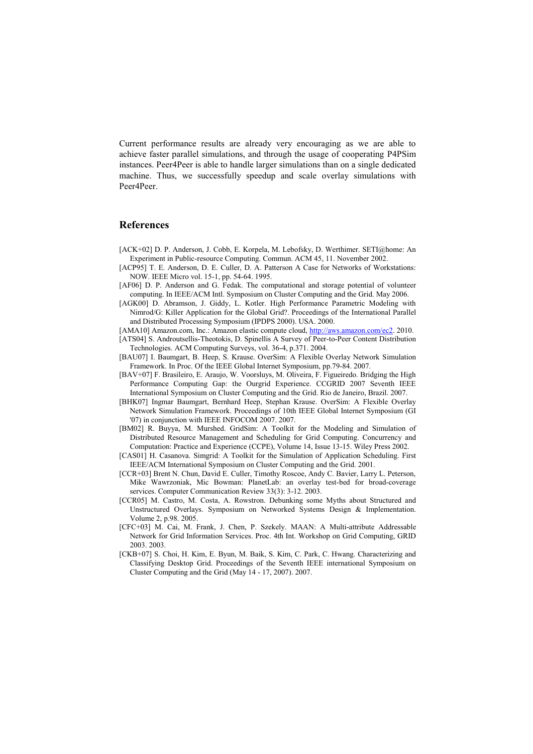Current performance results are already very encouraging as we are able to achieve faster parallel simulations, and through the usage of cooperating P4PSim instances. Peer4Peer is able to handle larger simulations than on a single dedicated machine. Thus, we successfully speedup and scale overlay simulations with Peer4Peer.

# **References**

- [ACK+02] D. P. Anderson, J. Cobb, E. Korpela, M. Lebofsky, D. Werthimer. SETI@home: An Experiment in Public-resource Computing. Commun. ACM 45, 11. November 2002.
- [ACP95] T. E. Anderson, D. E. Culler, D. A. Patterson A Case for Networks of Workstations: NOW. IEEE Micro vol. 15-1, pp. 54-64. 1995.
- [AF06] D. P. Anderson and G. Fedak. The computational and storage potential of volunteer computing. In IEEE/ACM Intl. Symposium on Cluster Computing and the Grid. May 2006.
- [AGK00] D. Abramson, J. Giddy, L. Kotler. High Performance Parametric Modeling with Nimrod/G: Killer Application for the Global Grid?. Proceedings of the International Parallel and Distributed Processing Symposium (IPDPS 2000). USA. 2000.
- [AMA10] Amazon.com, Inc.: Amazon elastic compute cloud, [http://aws.amazon.com/ec2.](http://aws.amazon.com/ec2) 2010.
- [ATS04] S. Androutsellis-Theotokis, D. Spinellis A Survey of Peer-to-Peer Content Distribution Technologies. ACM Computing Surveys, vol. 36-4, p.371. 2004.
- [BAU07] I. Baumgart, B. Heep, S. Krause. OverSim: A Flexible Overlay Network Simulation Framework. In Proc. Of the IEEE Global Internet Symposium, pp.79-84. 2007.
- [BAV+07] F. Brasileiro, E. Araujo, W. Voorsluys, M. Oliveira, F. Figueiredo. Bridging the High Performance Computing Gap: the Ourgrid Experience. CCGRID 2007 Seventh IEEE International Symposium on Cluster Computing and the Grid. Rio de Janeiro, Brazil. 2007.
- [BHK07] Ingmar Baumgart, Bernhard Heep, Stephan Krause. OverSim: A Flexible Overlay Network Simulation Framework. Proceedings of 10th IEEE Global Internet Symposium (GI '07) in conjunction with IEEE INFOCOM 2007. 2007.
- [BM02] R. Buyya, M. Murshed. GridSim: A Toolkit for the Modeling and Simulation of Distributed Resource Management and Scheduling for Grid Computing. Concurrency and Computation: Practice and Experience (CCPE), Volume 14, Issue 13-15. Wiley Press 2002.
- [CAS01] H. Casanova. Simgrid: A Toolkit for the Simulation of Application Scheduling. First IEEE/ACM International Symposium on Cluster Computing and the Grid. 2001.
- [CCR+03] Brent N. Chun, David E. Culler, Timothy Roscoe, Andy C. Bavier, Larry L. Peterson, Mike Wawrzoniak, Mic Bowman: PlanetLab: an overlay test-bed for broad-coverage services. Computer Communication Review 33(3): 3-12. 2003.
- [CCR05] M. Castro, M. Costa, A. Rowstron. Debunking some Myths about Structured and Unstructured Overlays. Symposium on Networked Systems Design & Implementation. Volume 2, p.98. 2005.
- [CFC+03] M. Cai, M. Frank, J. Chen, P. Szekely. MAAN: A Multi-attribute Addressable Network for Grid Information Services. Proc. 4th Int. Workshop on Grid Computing, GRID 2003. 2003.
- [CKB+07] S. Choi, H. Kim, E. Byun, M. Baik, S. Kim, C. Park, C. Hwang. Characterizing and Classifying Desktop Grid. Proceedings of the Seventh IEEE international Symposium on Cluster Computing and the Grid (May 14 - 17, 2007). 2007.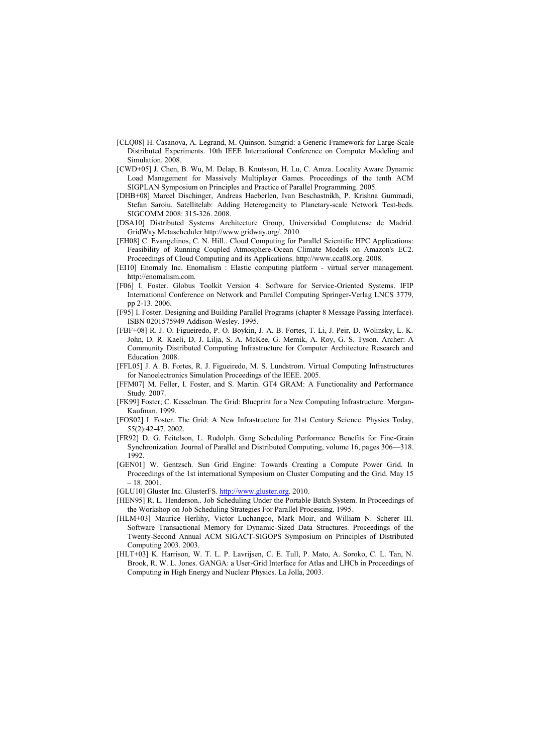- [CLQ08] H. Casanova, A. Legrand, M. Quinson. Simgrid: a Generic Framework for Large-Scale Distributed Experiments. 10th IEEE International Conference on Computer Modeling and Simulation. 2008.
- [CWD+05] J. Chen, B. Wu, M. Delap, B. Knutsson, H. Lu, C. Amza. Locality Aware Dynamic Load Management for Massively Multiplayer Games. Proceedings of the tenth ACM SIGPLAN Symposium on Principles and Practice of Parallel Programming. 2005.
- [DHB+08] Marcel Dischinger, Andreas Haeberlen, Ivan Beschastnikh, P. Krishna Gummadi, Stefan Saroiu. Satellitelab: Adding Heterogeneity to Planetary-scale Network Test-beds. SIGCOMM 2008: 315-326. 2008.
- [DSA10] Distributed Systems Architecture Group, Universidad Complutense de Madrid. GridWay Metascheduler http://www.gridway.org/. 2010.
- [EH08] C. Evangelinos, C. N. Hill.. Cloud Computing for Parallel Scientific HPC Applications: Feasibility of Running Coupled Atmosphere-Ocean Climate Models on Amazon's EC2. Proceedings of Cloud Computing and its Applications. http://www.cca08.org. 2008.
- [EI10] Enomaly Inc. Enomalism : Elastic computing platform virtual server management. http://enomalism.com.
- [F06] I. Foster. Globus Toolkit Version 4: Software for Service-Oriented Systems. IFIP International Conference on Network and Parallel Computing Springer-Verlag LNCS 3779, pp 2-13. 2006.
- [F95] I. Foster. Designing and Building Parallel Programs (chapter 8 Message Passing Interface). ISBN 0201575949 Addison-Wesley. 1995.
- [FBF+08] R. J. O. Figueiredo, P. O. Boykin, J. A. B. Fortes, T. Li, J. Peir, D. Wolinsky, L. K. John, D. R. Kaeli, D. J. Lilja, S. A. McKee, G. Memik, A. Roy, G. S. Tyson. Archer: A Community Distributed Computing Infrastructure for Computer Architecture Research and Education. 2008.
- [FFL05] J. A. B. Fortes, R. J. Figueiredo, M. S. Lundstrom. Virtual Computing Infrastructures for Nanoelectronics Simulation Proceedings of the IEEE. 2005.
- [FFM07] M. Feller, I. Foster, and S. Martin. GT4 GRAM: A Functionality and Performance Study. 2007.
- [FK99] Foster; C. Kesselman. The Grid: Blueprint for a New Computing Infrastructure. Morgan-Kaufman. 1999.
- [FOS02] I. Foster. The Grid: A New Infrastructure for 21st Century Science. Physics Today, 55(2):42-47. 2002.
- [FR92] D. G. Feitelson, L. Rudolph. Gang Scheduling Performance Benefits for Fine-Grain Synchronization. Journal of Parallel and Distributed Computing, volume 16, pages 306—318. 1992.
- [GEN01] W. Gentzsch. Sun Grid Engine: Towards Creating a Compute Power Grid. In Proceedings of the 1st international Symposium on Cluster Computing and the Grid. May 15 – 18. 2001.
- [GLU10] Gluster Inc. GlusterFS[. http://www.gluster.org.](http://www.gluster.org/) 2010.
- [HEN95] R. L. Henderson.. Job Scheduling Under the Portable Batch System. In Proceedings of the Workshop on Job Scheduling Strategies For Parallel Processing. 1995.
- [HLM+03] Maurice Herlihy, Victor Luchangco, Mark Moir, and William N. Scherer III. Software Transactional Memory for Dynamic-Sized Data Structures. Proceedings of the Twenty-Second Annual ACM SIGACT-SIGOPS Symposium on Principles of Distributed Computing 2003. 2003.
- [HLT+03] K. Harrison, W. T. L. P. Lavrijsen, C. E. Tull, P. Mato, A. Soroko, C. L. Tan, N. Brook, R. W. L. Jones. GANGA: a User-Grid Interface for Atlas and LHCb in Proceedings of Computing in High Energy and Nuclear Physics. La Jolla, 2003.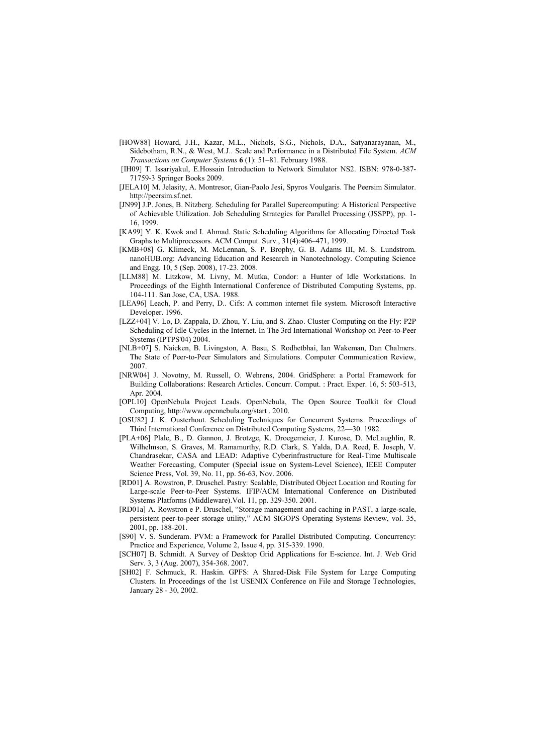- [HOW88] Howard, J.H., Kazar, M.L., Nichols, S.G., Nichols, D.A., Satyanarayanan, M., Sidebotham, R.N., & West, M.J.. Scale and Performance in a Distributed File System. *ACM Transactions on Computer Systems* **6** (1): 51–81. February 1988.
- [IH09] T. Issariyakul, E.Hossain Introduction to Network Simulator NS2. ISBN: 978-0-387- 71759-3 Springer Books 2009.
- [JELA10] M. Jelasity, A. Montresor, Gian-Paolo Jesi, Spyros Voulgaris. The Peersim Simulator. http://peersim.sf.net.
- [JN99] J.P. Jones, B. Nitzberg. Scheduling for Parallel Supercomputing: A Historical Perspective of Achievable Utilization. Job Scheduling Strategies for Parallel Processing (JSSPP), pp. 1- 16, 1999.
- [KA99] Y. K. Kwok and I. Ahmad. Static Scheduling Algorithms for Allocating Directed Task Graphs to Multiprocessors. ACM Comput. Surv., 31(4):406–471, 1999.
- [KMB+08] G. Klimeck, M. McLennan, S. P. Brophy, G. B. Adams III, M. S. Lundstrom. nanoHUB.org: Advancing Education and Research in Nanotechnology. Computing Science and Engg. 10, 5 (Sep. 2008), 17-23. 2008.
- [LLM88] M. Litzkow, M. Livny, M. Mutka, Condor: a Hunter of Idle Workstations. In Proceedings of the Eighth International Conference of Distributed Computing Systems, pp. 104-111. San Jose, CA, USA. 1988.
- [LEA96] Leach, P. and Perry, D.. Cifs: A common internet file system. Microsoft Interactive Developer. 1996.
- [LZZ+04] V. Lo, D. Zappala, D. Zhou, Y. Liu, and S. Zhao. Cluster Computing on the Fly: P2P Scheduling of Idle Cycles in the Internet. In The 3rd International Workshop on Peer-to-Peer Systems (IPTPS'04) 2004.
- [NLB+07] S. Naicken, B. Livingston, A. Basu, S. Rodhetbhai, Ian Wakeman, Dan Chalmers. The State of Peer-to-Peer Simulators and Simulations. Computer Communication Review, 2007.
- [NRW04] J. Novotny, M. Russell, O. Wehrens, 2004. GridSphere: a Portal Framework for Building Collaborations: Research Articles. Concurr. Comput. : Pract. Exper. 16, 5: 503-513, Apr. 2004.
- [OPL10] OpenNebula Project Leads. OpenNebula, The Open Source Toolkit for Cloud Computing, http://www.opennebula.org/start . 2010.
- [OSU82] J. K. Ousterhout. Scheduling Techniques for Concurrent Systems. Proceedings of Third International Conference on Distributed Computing Systems, 22—30. 1982.
- [PLA+06] Plale, B., D. Gannon, J. Brotzge, K. Droegemeier, J. Kurose, D. McLaughlin, R. Wilhelmson, S. Graves, M. Ramamurthy, R.D. Clark, S. Yalda, D.A. Reed, E. Joseph, V. Chandrasekar, CASA and LEAD: Adaptive Cyberinfrastructure for Real-Time Multiscale Weather Forecasting, Computer (Special issue on System-Level Science), IEEE Computer Science Press, Vol. 39, No. 11, pp. 56-63, Nov. 2006.
- [RD01] A. Rowstron, P. Druschel. Pastry: Scalable, Distributed Object Location and Routing for Large-scale Peer-to-Peer Systems. IFIP/ACM International Conference on Distributed Systems Platforms (Middleware).Vol. 11, pp. 329-350. 2001.
- [RD01a] A. Rowstron e P. Druschel, "Storage management and caching in PAST, a large-scale, persistent peer-to-peer storage utility," ACM SIGOPS Operating Systems Review, vol. 35, 2001, pp. 188-201.
- [S90] V. S. Sunderam. PVM: a Framework for Parallel Distributed Computing. Concurrency: Practice and Experience, Volume 2, Issue 4, pp. 315-339. 1990.
- [SCH07] B. Schmidt. A Survey of Desktop Grid Applications for E-science. Int. J. Web Grid Serv. 3, 3 (Aug. 2007), 354-368. 2007.
- [SH02] F. Schmuck, R. Haskin. GPFS: A Shared-Disk File System for Large Computing Clusters. In Proceedings of the 1st USENIX Conference on File and Storage Technologies, January 28 - 30, 2002.